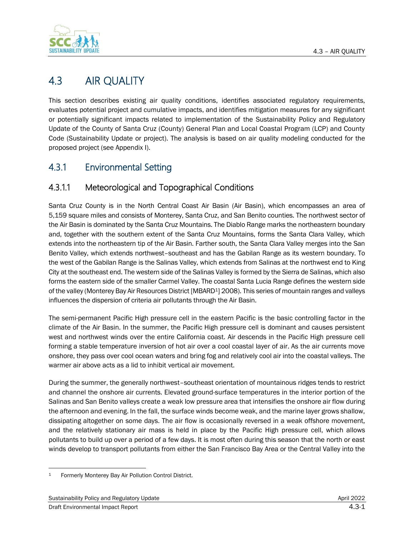

# 4.3 AIR QUALITY

This section describes existing air quality conditions, identifies associated regulatory requirements, evaluates potential project and cumulative impacts, and identifies mitigation measures for any significant or potentially significant impacts related to implementation of the Sustainability Policy and Regulatory Update of the County of Santa Cruz (County) General Plan and Local Coastal Program (LCP) and County Code (Sustainability Update or project). The analysis is based on air quality modeling conducted for the proposed project (see Appendix I).

## 4.3.1 Environmental Setting

## 4.3.1.1 Meteorological and Topographical Conditions

Santa Cruz County is in the North Central Coast Air Basin (Air Basin), which encompasses an area of 5,159 square miles and consists of Monterey, Santa Cruz, and San Benito counties. The northwest sector of the Air Basin is dominated by the Santa Cruz Mountains. The Diablo Range marks the northeastern boundary and, together with the southern extent of the Santa Cruz Mountains, forms the Santa Clara Valley, which extends into the northeastern tip of the Air Basin. Farther south, the Santa Clara Valley merges into the San Benito Valley, which extends northwest–southeast and has the Gabilan Range as its western boundary. To the west of the Gabilan Range is the Salinas Valley, which extends from Salinas at the northwest end to King City at the southeast end. The western side of the Salinas Valley is formed by the Sierra de Salinas, which also forms the eastern side of the smaller Carmel Valley. The coastal Santa Lucia Range defines the western side of the valley (Monterey Bay Air Resources District [MBARD1] 2008). This series of mountain ranges and valleys influences the dispersion of criteria air pollutants through the Air Basin.

The semi-permanent Pacific High pressure cell in the eastern Pacific is the basic controlling factor in the climate of the Air Basin. In the summer, the Pacific High pressure cell is dominant and causes persistent west and northwest winds over the entire California coast. Air descends in the Pacific High pressure cell forming a stable temperature inversion of hot air over a cool coastal layer of air. As the air currents move onshore, they pass over cool ocean waters and bring fog and relatively cool air into the coastal valleys. The warmer air above acts as a lid to inhibit vertical air movement.

During the summer, the generally northwest–southeast orientation of mountainous ridges tends to restrict and channel the onshore air currents. Elevated ground-surface temperatures in the interior portion of the Salinas and San Benito valleys create a weak low pressure area that intensifies the onshore air flow during the afternoon and evening. In the fall, the surface winds become weak, and the marine layer grows shallow, dissipating altogether on some days. The air flow is occasionally reversed in a weak offshore movement, and the relatively stationary air mass is held in place by the Pacific High pressure cell, which allows pollutants to build up over a period of a few days. It is most often during this season that the north or east winds develop to transport pollutants from either the San Francisco Bay Area or the Central Valley into the

<sup>1</sup> Formerly Monterey Bay Air Pollution Control District.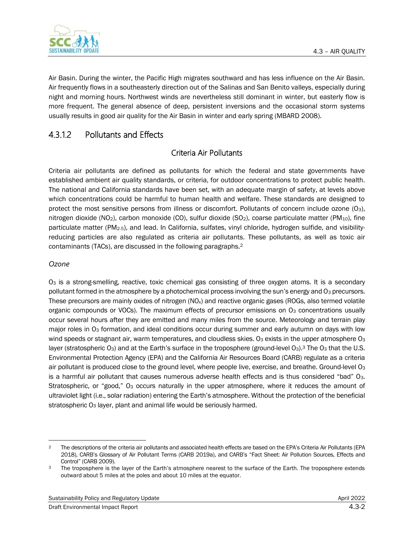

Air Basin. During the winter, the Pacific High migrates southward and has less influence on the Air Basin. Air frequently flows in a southeasterly direction out of the Salinas and San Benito valleys, especially during night and morning hours. Northwest winds are nevertheless still dominant in winter, but easterly flow is more frequent. The general absence of deep, persistent inversions and the occasional storm systems usually results in good air quality for the Air Basin in winter and early spring (MBARD 2008).

## 4.3.1.2 Pollutants and Effects

### Criteria Air Pollutants

Criteria air pollutants are defined as pollutants for which the federal and state governments have established ambient air quality standards, or criteria, for outdoor concentrations to protect public health. The national and California standards have been set, with an adequate margin of safety, at levels above which concentrations could be harmful to human health and welfare. These standards are designed to protect the most sensitive persons from illness or discomfort. Pollutants of concern include ozone (O3), nitrogen dioxide (NO<sub>2</sub>), carbon monoxide (CO), sulfur dioxide (SO<sub>2</sub>), coarse particulate matter (PM<sub>10</sub>), fine particulate matter (PM2.5), and lead. In California, sulfates, vinyl chloride, hydrogen sulfide, and visibilityreducing particles are also regulated as criteria air pollutants. These pollutants, as well as toxic air contaminants (TACs), are discussed in the following paragraphs.<sup>2</sup>

### *Ozone*

O<sup>3</sup> is a strong-smelling, reactive, toxic chemical gas consisting of three oxygen atoms. It is a secondary pollutant formed in the atmosphere by a photochemical process involving the sun's energy and O3 precursors. These precursors are mainly oxides of nitrogen (NO<sub>x</sub>) and reactive organic gases (ROGs, also termed volatile organic compounds or VOCs). The maximum effects of precursor emissions on  $O_3$  concentrations usually occur several hours after they are emitted and many miles from the source. Meteorology and terrain play major roles in O<sub>3</sub> formation, and ideal conditions occur during summer and early autumn on days with low wind speeds or stagnant air, warm temperatures, and cloudless skies.  $O_3$  exists in the upper atmosphere  $O_3$ layer (stratospheric O<sub>3</sub>) and at the Earth's surface in the troposphere (ground-level O<sub>3</sub>).<sup>3</sup> The O<sub>3</sub> that the U.S. Environmental Protection Agency (EPA) and the California Air Resources Board (CARB) regulate as a criteria air pollutant is produced close to the ground level, where people live, exercise, and breathe. Ground-level  $O_3$ is a harmful air pollutant that causes numerous adverse health effects and is thus considered "bad" O3. Stratospheric, or "good," O<sub>3</sub> occurs naturally in the upper atmosphere, where it reduces the amount of ultraviolet light (i.e., solar radiation) entering the Earth's atmosphere. Without the protection of the beneficial stratospheric O<sub>3</sub> layer, plant and animal life would be seriously harmed.

<sup>&</sup>lt;sup>2</sup> The descriptions of the criteria air pollutants and associated health effects are based on the EPA's Criteria Air Pollutants (EPA 2018), CARB's Glossary of Air Pollutant Terms (CARB 2019a), and CARB's "Fact Sheet: Air Pollution Sources, Effects and Control" (CARB 2009).

<sup>&</sup>lt;sup>3</sup> The troposphere is the layer of the Earth's atmosphere nearest to the surface of the Earth. The troposphere extends outward about 5 miles at the poles and about 10 miles at the equator.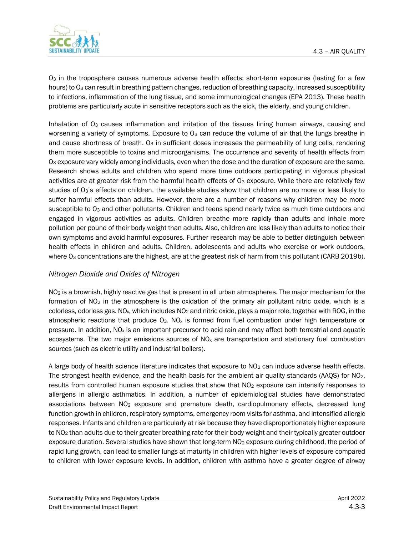

O<sup>3</sup> in the troposphere causes numerous adverse health effects; short-term exposures (lasting for a few hours) to O<sub>3</sub> can result in breathing pattern changes, reduction of breathing capacity, increased susceptibility to infections, inflammation of the lung tissue, and some immunological changes (EPA 2013). These health problems are particularly acute in sensitive receptors such as the sick, the elderly, and young children.

Inhalation of O<sub>3</sub> causes inflammation and irritation of the tissues lining human airways, causing and worsening a variety of symptoms. Exposure to O<sub>3</sub> can reduce the volume of air that the lungs breathe in and cause shortness of breath.  $O_3$  in sufficient doses increases the permeability of lung cells, rendering them more susceptible to toxins and microorganisms. The occurrence and severity of health effects from O<sup>3</sup> exposure vary widely among individuals, even when the dose and the duration of exposure are the same. Research shows adults and children who spend more time outdoors participating in vigorous physical activities are at greater risk from the harmful health effects of  $O<sub>3</sub>$  exposure. While there are relatively few studies of O<sub>3</sub>'s effects on children, the available studies show that children are no more or less likely to suffer harmful effects than adults. However, there are a number of reasons why children may be more susceptible to O<sub>3</sub> and other pollutants. Children and teens spend nearly twice as much time outdoors and engaged in vigorous activities as adults. Children breathe more rapidly than adults and inhale more pollution per pound of their body weight than adults. Also, children are less likely than adults to notice their own symptoms and avoid harmful exposures. Further research may be able to better distinguish between health effects in children and adults. Children, adolescents and adults who exercise or work outdoors, where O<sub>3</sub> concentrations are the highest, are at the greatest risk of harm from this pollutant (CARB 2019b).

### *Nitrogen Dioxide and Oxides of Nitrogen*

NO<sub>2</sub> is a brownish, highly reactive gas that is present in all urban atmospheres. The major mechanism for the formation of  $NO<sub>2</sub>$  in the atmosphere is the oxidation of the primary air pollutant nitric oxide, which is a colorless, odorless gas. NO<sub>x</sub>, which includes  $NO_2$  and nitric oxide, plays a major role, together with ROG, in the atmospheric reactions that produce  $O_3$ . NO<sub>x</sub> is formed from fuel combustion under high temperature or pressure. In addition,  $NO<sub>x</sub>$  is an important precursor to acid rain and may affect both terrestrial and aquatic ecosystems. The two major emissions sources of  $NO<sub>x</sub>$  are transportation and stationary fuel combustion sources (such as electric utility and industrial boilers).

A large body of health science literature indicates that exposure to NO<sup>2</sup> can induce adverse health effects. The strongest health evidence, and the health basis for the ambient air quality standards (AAQS) for NO<sub>2</sub>, results from controlled human exposure studies that show that NO<sub>2</sub> exposure can intensify responses to allergens in allergic asthmatics. In addition, a number of epidemiological studies have demonstrated associations between  $NO<sub>2</sub>$  exposure and premature death, cardiopulmonary effects, decreased lung function growth in children, respiratory symptoms, emergency room visits for asthma, and intensified allergic responses. Infants and children are particularly at risk because they have disproportionately higher exposure to NO<sub>2</sub> than adults due to their greater breathing rate for their body weight and their typically greater outdoor exposure duration. Several studies have shown that long-term NO<sub>2</sub> exposure during childhood, the period of rapid lung growth, can lead to smaller lungs at maturity in children with higher levels of exposure compared to children with lower exposure levels. In addition, children with asthma have a greater degree of airway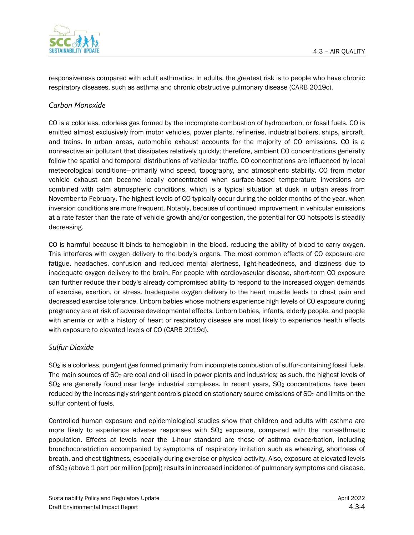

responsiveness compared with adult asthmatics. In adults, the greatest risk is to people who have chronic respiratory diseases, such as asthma and chronic obstructive pulmonary disease (CARB 2019c).

### *Carbon Monoxide*

CO is a colorless, odorless gas formed by the incomplete combustion of hydrocarbon, or fossil fuels. CO is emitted almost exclusively from motor vehicles, power plants, refineries, industrial boilers, ships, aircraft, and trains. In urban areas, automobile exhaust accounts for the majority of CO emissions. CO is a nonreactive air pollutant that dissipates relatively quickly; therefore, ambient CO concentrations generally follow the spatial and temporal distributions of vehicular traffic. CO concentrations are influenced by local meteorological conditions—primarily wind speed, topography, and atmospheric stability. CO from motor vehicle exhaust can become locally concentrated when surface-based temperature inversions are combined with calm atmospheric conditions, which is a typical situation at dusk in urban areas from November to February. The highest levels of CO typically occur during the colder months of the year, when inversion conditions are more frequent. Notably, because of continued improvement in vehicular emissions at a rate faster than the rate of vehicle growth and/or congestion, the potential for CO hotspots is steadily decreasing.

CO is harmful because it binds to hemoglobin in the blood, reducing the ability of blood to carry oxygen. This interferes with oxygen delivery to the body's organs. The most common effects of CO exposure are fatigue, headaches, confusion and reduced mental alertness, light-headedness, and dizziness due to inadequate oxygen delivery to the brain. For people with cardiovascular disease, short-term CO exposure can further reduce their body's already compromised ability to respond to the increased oxygen demands of exercise, exertion, or stress. Inadequate oxygen delivery to the heart muscle leads to chest pain and decreased exercise tolerance. Unborn babies whose mothers experience high levels of CO exposure during pregnancy are at risk of adverse developmental effects. Unborn babies, infants, elderly people, and people with anemia or with a history of heart or respiratory disease are most likely to experience health effects with exposure to elevated levels of CO (CARB 2019d).

#### *Sulfur Dioxide*

SO<sup>2</sup> is a colorless, pungent gas formed primarily from incomplete combustion of sulfur-containing fossil fuels. The main sources of SO<sub>2</sub> are coal and oil used in power plants and industries; as such, the highest levels of SO<sub>2</sub> are generally found near large industrial complexes. In recent years, SO<sub>2</sub> concentrations have been reduced by the increasingly stringent controls placed on stationary source emissions of  $SO<sub>2</sub>$  and limits on the sulfur content of fuels.

Controlled human exposure and epidemiological studies show that children and adults with asthma are more likely to experience adverse responses with  $SO<sub>2</sub>$  exposure, compared with the non-asthmatic population. Effects at levels near the 1-hour standard are those of asthma exacerbation, including bronchoconstriction accompanied by symptoms of respiratory irritation such as wheezing, shortness of breath, and chest tightness, especially during exercise or physical activity. Also, exposure at elevated levels of SO<sup>2</sup> (above 1 part per million [ppm]) results in increased incidence of pulmonary symptoms and disease,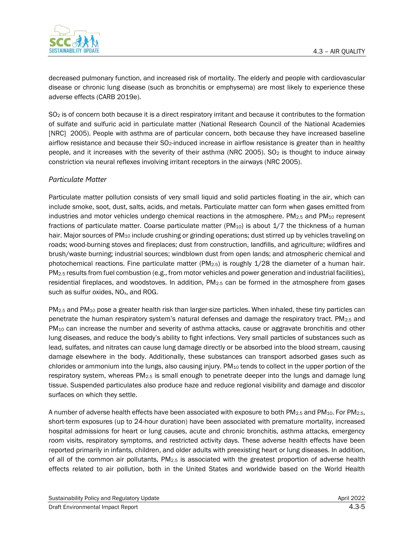

decreased pulmonary function, and increased risk of mortality. The elderly and people with cardiovascular disease or chronic lung disease (such as bronchitis or emphysema) are most likely to experience these adverse effects (CARB 2019e).

SO<sub>2</sub> is of concern both because it is a direct respiratory irritant and because it contributes to the formation of sulfate and sulfuric acid in particulate matter (National Research Council of the National Academies [NRC] 2005). People with asthma are of particular concern, both because they have increased baseline airflow resistance and because their SO<sub>2</sub>-induced increase in airflow resistance is greater than in healthy people, and it increases with the severity of their asthma (NRC 2005).  $SO<sub>2</sub>$  is thought to induce airway constriction via neural reflexes involving irritant receptors in the airways (NRC 2005).

#### *Particulate Matter*

Particulate matter pollution consists of very small liquid and solid particles floating in the air, which can include smoke, soot, dust, salts, acids, and metals. Particulate matter can form when gases emitted from industries and motor vehicles undergo chemical reactions in the atmosphere. PM $_{2.5}$  and PM $_{10}$  represent fractions of particulate matter. Coarse particulate matter  $(PM_{10})$  is about 1/7 the thickness of a human hair. Major sources of PM<sub>10</sub> include crushing or grinding operations; dust stirred up by vehicles traveling on roads; wood-burning stoves and fireplaces; dust from construction, landfills, and agriculture; wildfires and brush/waste burning; industrial sources; windblown dust from open lands; and atmospheric chemical and photochemical reactions. Fine particulate matter (PM2.5) is roughly 1/28 the diameter of a human hair. PM2.5 results from fuel combustion (e.g., from motor vehicles and power generation and industrial facilities), residential fireplaces, and woodstoves. In addition,  $PM_{2.5}$  can be formed in the atmosphere from gases such as sulfur oxides, NO<sub>x</sub>, and ROG.

PM2.5 and PM<sup>10</sup> pose a greater health risk than larger-size particles. When inhaled, these tiny particles can penetrate the human respiratory system's natural defenses and damage the respiratory tract. PM2.5 and PM<sub>10</sub> can increase the number and severity of asthma attacks, cause or aggravate bronchitis and other lung diseases, and reduce the body's ability to fight infections. Very small particles of substances such as lead, sulfates, and nitrates can cause lung damage directly or be absorbed into the blood stream, causing damage elsewhere in the body. Additionally, these substances can transport adsorbed gases such as chlorides or ammonium into the lungs, also causing injury. PM<sub>10</sub> tends to collect in the upper portion of the respiratory system, whereas PM<sub>2.5</sub> is small enough to penetrate deeper into the lungs and damage lung tissue. Suspended particulates also produce haze and reduce regional visibility and damage and discolor surfaces on which they settle.

A number of adverse health effects have been associated with exposure to both PM<sub>2.5</sub> and PM<sub>10</sub>. For PM<sub>2.5</sub>, short-term exposures (up to 24-hour duration) have been associated with premature mortality, increased hospital admissions for heart or lung causes, acute and chronic bronchitis, asthma attacks, emergency room visits, respiratory symptoms, and restricted activity days. These adverse health effects have been reported primarily in infants, children, and older adults with preexisting heart or lung diseases. In addition, of all of the common air pollutants, PM2.5 is associated with the greatest proportion of adverse health effects related to air pollution, both in the United States and worldwide based on the World Health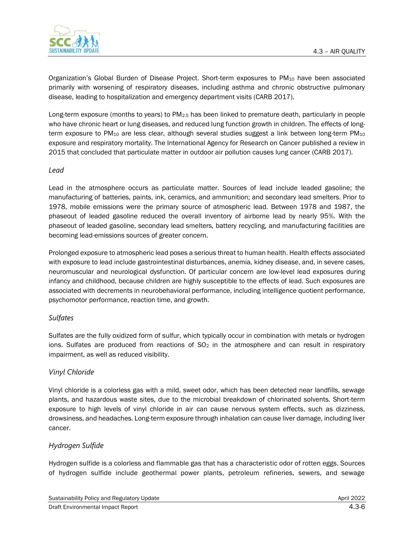

Organization's Global Burden of Disease Project. Short-term exposures to PM<sup>10</sup> have been associated primarily with worsening of respiratory diseases, including asthma and chronic obstructive pulmonary disease, leading to hospitalization and emergency department visits (CARB 2017).

Long-term exposure (months to years) to PM2.5 has been linked to premature death, particularly in people who have chronic heart or lung diseases, and reduced lung function growth in children. The effects of longterm exposure to PM<sub>10</sub> are less clear, although several studies suggest a link between long-term PM<sub>10</sub> exposure and respiratory mortality. The International Agency for Research on Cancer published a review in 2015 that concluded that particulate matter in outdoor air pollution causes lung cancer (CARB 2017).

#### *Lead*

Lead in the atmosphere occurs as particulate matter. Sources of lead include leaded gasoline; the manufacturing of batteries, paints, ink, ceramics, and ammunition; and secondary lead smelters. Prior to 1978, mobile emissions were the primary source of atmospheric lead. Between 1978 and 1987, the phaseout of leaded gasoline reduced the overall inventory of airborne lead by nearly 95%. With the phaseout of leaded gasoline, secondary lead smelters, battery recycling, and manufacturing facilities are becoming lead-emissions sources of greater concern.

Prolonged exposure to atmospheric lead poses a serious threat to human health. Health effects associated with exposure to lead include gastrointestinal disturbances, anemia, kidney disease, and, in severe cases, neuromuscular and neurological dysfunction. Of particular concern are low-level lead exposures during infancy and childhood, because children are highly susceptible to the effects of lead. Such exposures are associated with decrements in neurobehavioral performance, including intelligence quotient performance, psychomotor performance, reaction time, and growth.

#### *Sulfates*

Sulfates are the fully oxidized form of sulfur, which typically occur in combination with metals or hydrogen ions. Sulfates are produced from reactions of  $SO<sub>2</sub>$  in the atmosphere and can result in respiratory impairment, as well as reduced visibility.

#### *Vinyl Chloride*

Vinyl chloride is a colorless gas with a mild, sweet odor, which has been detected near landfills, sewage plants, and hazardous waste sites, due to the microbial breakdown of chlorinated solvents. Short-term exposure to high levels of vinyl chloride in air can cause nervous system effects, such as dizziness, drowsiness, and headaches. Long-term exposure through inhalation can cause liver damage, including liver cancer.

#### *Hydrogen Sulfide*

Hydrogen sulfide is a colorless and flammable gas that has a characteristic odor of rotten eggs. Sources of hydrogen sulfide include geothermal power plants, petroleum refineries, sewers, and sewage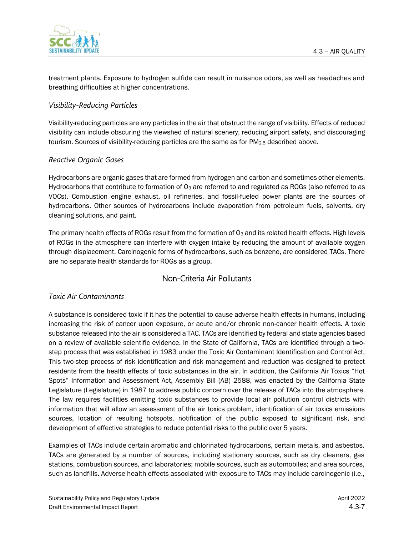

treatment plants. Exposure to hydrogen sulfide can result in nuisance odors, as well as headaches and breathing difficulties at higher concentrations.

### *Visibility-Reducing Particles*

Visibility-reducing particles are any particles in the air that obstruct the range of visibility. Effects of reduced visibility can include obscuring the viewshed of natural scenery, reducing airport safety, and discouraging tourism. Sources of visibility-reducing particles are the same as for PM<sub>2.5</sub> described above.

#### *Reactive Organic Gases*

Hydrocarbons are organic gases that are formed from hydrogen and carbon and sometimes other elements. Hydrocarbons that contribute to formation of  $O_3$  are referred to and regulated as ROGs (also referred to as VOCs). Combustion engine exhaust, oil refineries, and fossil-fueled power plants are the sources of hydrocarbons. Other sources of hydrocarbons include evaporation from petroleum fuels, solvents, dry cleaning solutions, and paint.

The primary health effects of ROGs result from the formation of  $O<sub>3</sub>$  and its related health effects. High levels of ROGs in the atmosphere can interfere with oxygen intake by reducing the amount of available oxygen through displacement. Carcinogenic forms of hydrocarbons, such as benzene, are considered TACs. There are no separate health standards for ROGs as a group.

### Non-Criteria Air Pollutants

#### *Toxic Air Contaminants*

A substance is considered toxic if it has the potential to cause adverse health effects in humans, including increasing the risk of cancer upon exposure, or acute and/or chronic non-cancer health effects. A toxic substance released into the air is considered a TAC. TACs are identified by federal and state agencies based on a review of available scientific evidence. In the State of California, TACs are identified through a twostep process that was established in 1983 under the Toxic Air Contaminant Identification and Control Act. This two-step process of risk identification and risk management and reduction was designed to protect residents from the health effects of toxic substances in the air. In addition, the California Air Toxics "Hot Spots" Information and Assessment Act, Assembly Bill (AB) 2588, was enacted by the California State Legislature (Legislature) in 1987 to address public concern over the release of TACs into the atmosphere. The law requires facilities emitting toxic substances to provide local air pollution control districts with information that will allow an assessment of the air toxics problem, identification of air toxics emissions sources, location of resulting hotspots, notification of the public exposed to significant risk, and development of effective strategies to reduce potential risks to the public over 5 years.

Examples of TACs include certain aromatic and chlorinated hydrocarbons, certain metals, and asbestos. TACs are generated by a number of sources, including stationary sources, such as dry cleaners, gas stations, combustion sources, and laboratories; mobile sources, such as automobiles; and area sources, such as landfills. Adverse health effects associated with exposure to TACs may include carcinogenic (i.e.,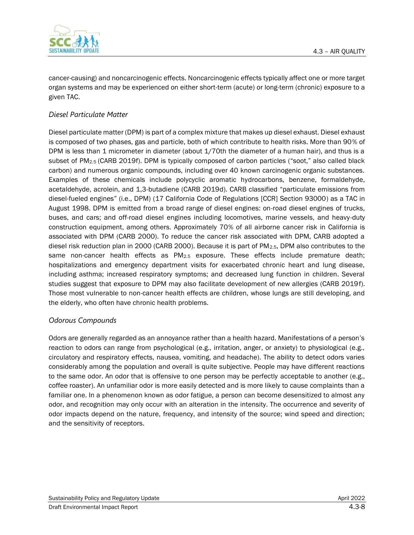

cancer-causing) and noncarcinogenic effects. Noncarcinogenic effects typically affect one or more target organ systems and may be experienced on either short-term (acute) or long-term (chronic) exposure to a given TAC.

#### *Diesel Particulate Matter*

Diesel particulate matter (DPM) is part of a complex mixture that makes up diesel exhaust. Diesel exhaust is composed of two phases, gas and particle, both of which contribute to health risks. More than 90% of DPM is less than 1 micrometer in diameter (about 1/70th the diameter of a human hair), and thus is a subset of PM2.5 (CARB 2019f). DPM is typically composed of carbon particles ("soot," also called black carbon) and numerous organic compounds, including over 40 known carcinogenic organic substances. Examples of these chemicals include polycyclic aromatic hydrocarbons, benzene, formaldehyde, acetaldehyde, acrolein, and 1,3-butadiene (CARB 2019d). CARB classified "particulate emissions from diesel-fueled engines" (i.e., DPM) (17 California Code of Regulations [CCR] Section 93000) as a TAC in August 1998. DPM is emitted from a broad range of diesel engines: on-road diesel engines of trucks, buses, and cars; and off-road diesel engines including locomotives, marine vessels, and heavy-duty construction equipment, among others. Approximately 70% of all airborne cancer risk in California is associated with DPM (CARB 2000). To reduce the cancer risk associated with DPM, CARB adopted a diesel risk reduction plan in 2000 (CARB 2000). Because it is part of PM2.5, DPM also contributes to the same non-cancer health effects as PM<sub>2.5</sub> exposure. These effects include premature death; hospitalizations and emergency department visits for exacerbated chronic heart and lung disease, including asthma; increased respiratory symptoms; and decreased lung function in children. Several studies suggest that exposure to DPM may also facilitate development of new allergies (CARB 2019f). Those most vulnerable to non-cancer health effects are children, whose lungs are still developing, and the elderly, who often have chronic health problems.

#### *Odorous Compounds*

Odors are generally regarded as an annoyance rather than a health hazard. Manifestations of a person's reaction to odors can range from psychological (e.g., irritation, anger, or anxiety) to physiological (e.g., circulatory and respiratory effects, nausea, vomiting, and headache). The ability to detect odors varies considerably among the population and overall is quite subjective. People may have different reactions to the same odor. An odor that is offensive to one person may be perfectly acceptable to another (e.g., coffee roaster). An unfamiliar odor is more easily detected and is more likely to cause complaints than a familiar one. In a phenomenon known as odor fatigue, a person can become desensitized to almost any odor, and recognition may only occur with an alteration in the intensity. The occurrence and severity of odor impacts depend on the nature, frequency, and intensity of the source; wind speed and direction; and the sensitivity of receptors.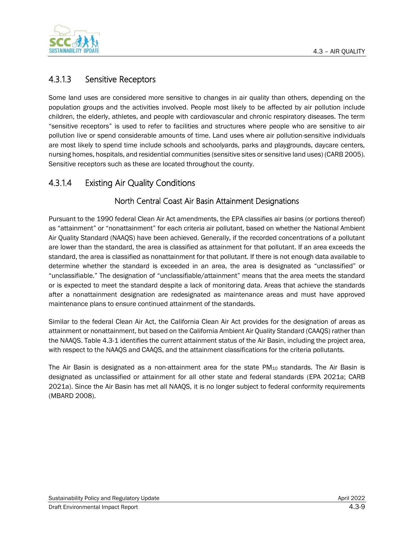

## 4.3.1.3 Sensitive Receptors

Some land uses are considered more sensitive to changes in air quality than others, depending on the population groups and the activities involved. People most likely to be affected by air pollution include children, the elderly, athletes, and people with cardiovascular and chronic respiratory diseases. The term "sensitive receptors" is used to refer to facilities and structures where people who are sensitive to air pollution live or spend considerable amounts of time. Land uses where air pollution-sensitive individuals are most likely to spend time include schools and schoolyards, parks and playgrounds, daycare centers, nursing homes, hospitals, and residential communities (sensitive sites or sensitive land uses) (CARB 2005). Sensitive receptors such as these are located throughout the county.

## 4.3.1.4 Existing Air Quality Conditions

### North Central Coast Air Basin Attainment Designations

Pursuant to the 1990 federal Clean Air Act amendments, the EPA classifies air basins (or portions thereof) as "attainment" or "nonattainment" for each criteria air pollutant, based on whether the National Ambient Air Quality Standard (NAAQS) have been achieved. Generally, if the recorded concentrations of a pollutant are lower than the standard, the area is classified as attainment for that pollutant. If an area exceeds the standard, the area is classified as nonattainment for that pollutant. If there is not enough data available to determine whether the standard is exceeded in an area, the area is designated as "unclassified" or "unclassifiable." The designation of "unclassifiable/attainment" means that the area meets the standard or is expected to meet the standard despite a lack of monitoring data. Areas that achieve the standards after a nonattainment designation are redesignated as maintenance areas and must have approved maintenance plans to ensure continued attainment of the standards.

Similar to the federal Clean Air Act, the California Clean Air Act provides for the designation of areas as attainment or nonattainment, but based on the California Ambient Air Quality Standard (CAAQS) rather than the NAAQS[. Table](#page-9-0) 4.3-1 identifies the current attainment status of the Air Basin, including the project area, with respect to the NAAQS and CAAQS, and the attainment classifications for the criteria pollutants.

The Air Basin is designated as a non-attainment area for the state  $PM_{10}$  standards. The Air Basin is designated as unclassified or attainment for all other state and federal standards (EPA 2021a; CARB 2021a). Since the Air Basin has met all NAAQS, it is no longer subject to federal conformity requirements (MBARD 2008).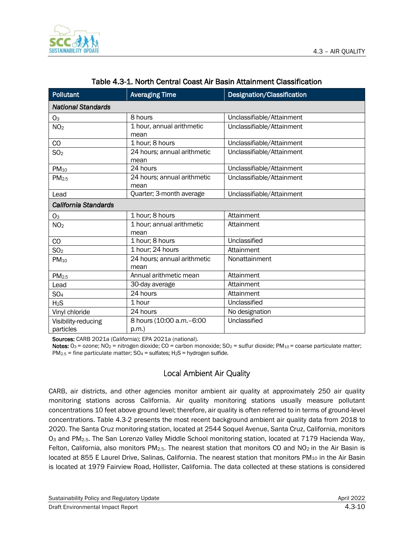

<span id="page-9-0"></span>

| <b>Pollutant</b>            | <b>Averaging Time</b>         | Designation/Classification |
|-----------------------------|-------------------------------|----------------------------|
| <b>National Standards</b>   |                               |                            |
| O <sub>3</sub>              | 8 hours                       | Unclassifiable/Attainment  |
| NO <sub>2</sub>             | 1 hour, annual arithmetic     | Unclassifiable/Attainment  |
|                             | mean                          |                            |
| CO                          | 1 hour; 8 hours               | Unclassifiable/Attainment  |
| SO <sub>2</sub>             | 24 hours; annual arithmetic   | Unclassifiable/Attainment  |
|                             | mean                          |                            |
| $PM_{10}$                   | 24 hours                      | Unclassifiable/Attainment  |
| PM <sub>2.5</sub>           | 24 hours; annual arithmetic   | Unclassifiable/Attainment  |
|                             | mean                          |                            |
| Lead                        | Quarter; 3-month average      | Unclassifiable/Attainment  |
| <b>California Standards</b> |                               |                            |
| O <sub>3</sub>              | 1 hour; 8 hours               | Attainment                 |
| NO <sub>2</sub>             | 1 hour; annual arithmetic     | Attainment                 |
|                             | mean                          |                            |
| CO                          | 1 hour; 8 hours               | Unclassified               |
| SO <sub>2</sub>             | $\overline{1}$ hour; 24 hours | Attainment                 |
| $PM_{10}$                   | 24 hours; annual arithmetic   | Nonattainment              |
|                             | mean                          |                            |
| PM <sub>2.5</sub>           | Annual arithmetic mean        | Attainment                 |
| Lead                        | 30-day average                | Attainment                 |
| SO <sub>4</sub>             | 24 hours                      | Attainment                 |
| H <sub>2</sub> S            | 1 hour                        | Unclassified               |
| Vinyl chloride              | 24 hours                      | No designation             |
| Visibility-reducing         | 8 hours (10:00 a.m. - 6:00    | Unclassified               |
| particles                   | $p.m.$ )                      |                            |

### Table 4.3-1. North Central Coast Air Basin Attainment Classification

Sources: CARB 2021a (California); EPA 2021a (national).

Notes:  $O_3$  = ozone; N $O_2$  = nitrogen dioxide; CO = carbon monoxide; S $O_2$  = sulfur dioxide; PM<sub>10</sub> = coarse particulate matter;  $PM_{2.5}$  = fine particulate matter; SO<sub>4</sub> = sulfates; H<sub>2</sub>S = hydrogen sulfide.

### Local Ambient Air Quality

CARB, air districts, and other agencies monitor ambient air quality at approximately 250 air quality monitoring stations across California. Air quality monitoring stations usually measure pollutant concentrations 10 feet above ground level; therefore, air quality is often referred to in terms of ground-level concentrations. Table 4.3-2 presents the most recent background ambient air quality data from 2018 to 2020. The Santa Cruz monitoring station, located at 2544 Soquel Avenue, Santa Cruz, California, monitors O<sub>3</sub> and PM<sub>2.5</sub>. The San Lorenzo Valley Middle School monitoring station, located at 7179 Hacienda Way, Felton, California, also monitors PM<sub>2.5</sub>. The nearest station that monitors CO and NO<sub>2</sub> in the Air Basin is located at 855 E Laurel Drive, Salinas, California. The nearest station that monitors PM<sub>10</sub> in the Air Basin is located at 1979 Fairview Road, Hollister, California. The data collected at these stations is considered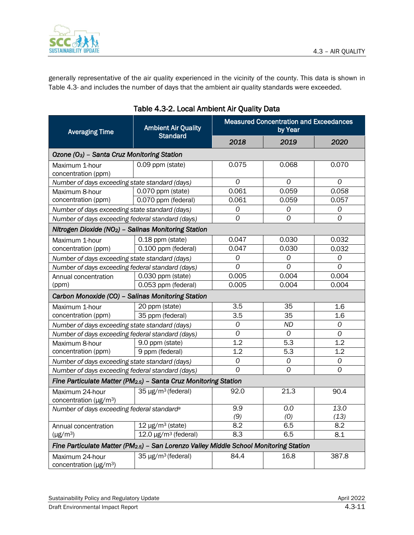

generally representative of the air quality experienced in the vicinity of the county. This data is shown in [Table](#page-10-0) 4.3- and includes the number of days that the ambient air quality standards were exceeded.

<span id="page-10-0"></span>

| <b>Averaging Time</b>                                                                              | <b>Ambient Air Quality</b><br><b>Standard</b>                   | <b>Measured Concentration and Exceedances</b><br>by Year |                |       |
|----------------------------------------------------------------------------------------------------|-----------------------------------------------------------------|----------------------------------------------------------|----------------|-------|
|                                                                                                    |                                                                 | 2018                                                     | 2019           | 2020  |
| Ozone (O <sub>3</sub> ) - Santa Cruz Monitoring Station                                            |                                                                 |                                                          |                |       |
| Maximum 1-hour<br>concentration (ppm)                                                              | 0.09 ppm (state)                                                | 0.075                                                    | 0.068          | 0.070 |
| Number of days exceeding state standard (days)                                                     |                                                                 | 0                                                        | 0              | 0     |
| Maximum 8-hour                                                                                     | 0.070 ppm (state)                                               | 0.061                                                    | 0.059          | 0.058 |
| concentration (ppm)                                                                                | 0.070 ppm (federal)                                             | 0.061                                                    | 0.059          | 0.057 |
| Number of days exceeding state standard (days)                                                     |                                                                 | 0                                                        | 0              | 0     |
| Number of days exceeding federal standard (days)                                                   |                                                                 | 0                                                        | 0              | 0     |
| Nitrogen Dioxide (NO <sub>2</sub> ) - Salinas Monitoring Station                                   |                                                                 |                                                          |                |       |
| Maximum 1-hour                                                                                     | 0.18 ppm (state)                                                | 0.047                                                    | 0.030          | 0.032 |
| concentration (ppm)                                                                                | 0.100 ppm (federal)                                             | 0.047                                                    | 0.030          | 0.032 |
| Number of days exceeding state standard (days)                                                     |                                                                 | 0                                                        | $\cal O$       | 0     |
| Number of days exceeding federal standard (days)                                                   |                                                                 | 0                                                        | $\mathcal{O}$  | 0     |
| Annual concentration                                                                               | 0.030 ppm (state)                                               | 0.005                                                    | 0.004          | 0.004 |
| (ppm)                                                                                              | 0.053 ppm (federal)                                             | 0.005                                                    | 0.004          | 0.004 |
| Carbon Monoxide (CO) - Salinas Monitoring Station                                                  |                                                                 |                                                          |                |       |
| Maximum 1-hour                                                                                     | 20 ppm (state)                                                  | 3.5                                                      | 35             | 1.6   |
| concentration (ppm)                                                                                | 35 ppm (federal)                                                | 3.5                                                      | 35             | 1.6   |
| Number of days exceeding state standard (days)                                                     |                                                                 | $\mathcal{O}$                                            | <b>ND</b>      | 0     |
| Number of days exceeding federal standard (days)                                                   |                                                                 | 0                                                        | $\mathcal{O}$  | 0     |
| Maximum 8-hour                                                                                     | 9.0 ppm (state)                                                 | 1.2                                                      | 5.3            | 1.2   |
| concentration (ppm)                                                                                | 9 ppm (federal)                                                 | 1.2                                                      | 5.3            | 1.2   |
| Number of days exceeding state standard (days)                                                     |                                                                 | $\cal O$                                                 | 0              | 0     |
| Number of days exceeding federal standard (days)                                                   |                                                                 | 0                                                        | $\overline{O}$ | 0     |
|                                                                                                    | Fine Particulate Matter (PM2.5) - Santa Cruz Monitoring Station |                                                          |                |       |
| Maximum 24-hour<br>concentration ( $\mu$ g/m <sup>3</sup> )                                        | $35 \mu g/m^3$ (federal)                                        | 92.0                                                     | 21.3           | 90.4  |
| Number of days exceeding federal standard <sup>a</sup>                                             |                                                                 | 9.9                                                      | 0.0            | 13.0  |
|                                                                                                    |                                                                 | (9)                                                      | (0)            | (13)  |
| Annual concentration                                                                               | $12 \mu g/m^3$ (state)                                          | 8.2                                                      | 6.5            | 8.2   |
| $(\mu g/m^3)$                                                                                      | $12.0 \,\mathrm{\upmu g/m^3}$ (federal)                         | 8.3                                                      | 6.5            | 8.1   |
| Fine Particulate Matter (PM <sub>2.5</sub> ) - San Lorenzo Valley Middle School Monitoring Station |                                                                 |                                                          |                |       |
| Maximum 24-hour<br>concentration ( $\mu$ g/m <sup>3</sup> )                                        | 35 µg/m <sup>3</sup> (federal)                                  | 84.4                                                     | 16.8           | 387.8 |

### Table 4.3-2. Local Ambient Air Quality Data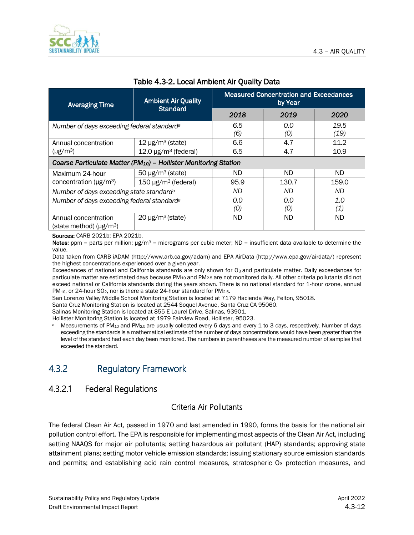| <b>Averaging Time</b>                                                        | <b>Ambient Air Quality</b><br><b>Standard</b> | <b>Measured Concentration and Exceedances</b><br>by Year |            |              |
|------------------------------------------------------------------------------|-----------------------------------------------|----------------------------------------------------------|------------|--------------|
|                                                                              |                                               | 2018                                                     | 2019       | 2020         |
| Number of days exceeding federal standard <sup>a</sup>                       |                                               | 6.5<br>(6)                                               | 0.0<br>(0) | 19.5<br>(19) |
| Annual concentration                                                         | $12 \mu g/m^3$ (state)                        | 6.6                                                      | 4.7        | 11.2         |
| $(\mu g/m^3)$                                                                | $12.0 \,\mu g/m^3$ (federal)                  | 6.5                                                      | 4.7        | 10.9         |
| Coarse Particulate Matter (PM <sub>10</sub> ) - Hollister Monitoring Station |                                               |                                                          |            |              |
| Maximum 24-hour                                                              | $50 \mu g/m^3$ (state)                        | ND.                                                      | ND.        | ND.          |
| concentration ( $\mu$ g/m <sup>3</sup> )                                     | $150 \mu g/m^3$ (federal)                     | 95.9                                                     | 130.7      | 159.0        |
| Number of days exceeding state standard <sup>a</sup>                         |                                               | ND                                                       | ND.        | ND.          |
| Number of days exceeding federal standard <sup>a</sup>                       |                                               | 0.0                                                      | 0.0        | 1.0          |
|                                                                              |                                               | (O)                                                      | (O)        | (1)          |
| Annual concentration<br>(state method) $(\mu g/m^3)$                         | $20 \mu g/m^3$ (state)                        | ND.                                                      | ND.        | ND.          |

#### Table 4.3-2. Local Ambient Air Quality Data

Sources: CARB 2021b; EPA 2021b.

Notes: ppm = parts per million;  $\mu$ g/m<sup>3</sup> = micrograms per cubic meter; ND = insufficient data available to determine the value.

Data taken from CARB iADAM (http://www.arb.ca.gov/adam) and EPA AirData (http://www.epa.gov/airdata/) represent the highest concentrations experienced over a given year.

Exceedances of national and California standards are only shown for  $O_3$  and particulate matter. Daily exceedances for particulate matter are estimated days because PM<sub>10</sub> and PM<sub>2.5</sub> are not monitored daily. All other criteria pollutants did not exceed national or California standards during the years shown. There is no national standard for 1-hour ozone, annual PM<sub>10</sub>, or 24-hour SO<sub>2</sub>, nor is there a state 24-hour standard for PM<sub>2.5</sub>.

San Lorenzo Valley Middle School Monitoring Station is located at 7179 Hacienda Way, Felton, 95018.

Santa Cruz Monitoring Station is located at 2544 Soquel Avenue, Santa Cruz CA 95060.

Salinas Monitoring Station is located at 855 E Laurel Drive, Salinas, 93901.

Hollister Monitoring Station is located at 1979 Fairview Road, Hollister, 95023.

a Measurements of PM<sub>10</sub> and PM<sub>2.5</sub> are usually collected every 6 days and every 1 to 3 days, respectively. Number of days exceeding the standards is a mathematical estimate of the number of days concentrations would have been greater than the level of the standard had each day been monitored. The numbers in parentheses are the measured number of samples that exceeded the standard.

# 4.3.2 Regulatory Framework

## 4.3.2.1 Federal Regulations

### Criteria Air Pollutants

The federal Clean Air Act, passed in 1970 and last amended in 1990, forms the basis for the national air pollution control effort. The EPA is responsible for implementing most aspects of the Clean Air Act, including setting NAAQS for major air pollutants; setting hazardous air pollutant (HAP) standards; approving state attainment plans; setting motor vehicle emission standards; issuing stationary source emission standards and permits; and establishing acid rain control measures, stratospheric O<sub>3</sub> protection measures, and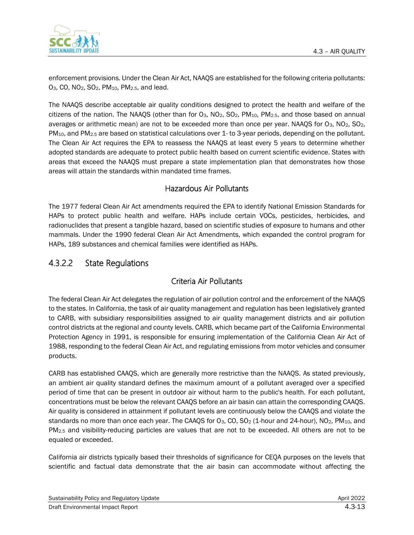

enforcement provisions. Under the Clean Air Act, NAAQS are established for the following criteria pollutants: O3, CO, NO2, SO2, PM10, PM2.5, and lead.

The NAAQS describe acceptable air quality conditions designed to protect the health and welfare of the citizens of the nation. The NAAQS (other than for O<sub>3</sub>, NO<sub>2</sub>, SO<sub>2</sub>, PM<sub>10</sub>, PM<sub>2.5</sub>, and those based on annual averages or arithmetic mean) are not to be exceeded more than once per year. NAAQS for O3, NO2, SO2, PM10, and PM2.5 are based on statistical calculations over 1- to 3-year periods, depending on the pollutant. The Clean Air Act requires the EPA to reassess the NAAQS at least every 5 years to determine whether adopted standards are adequate to protect public health based on current scientific evidence. States with areas that exceed the NAAQS must prepare a state implementation plan that demonstrates how those areas will attain the standards within mandated time frames.

### Hazardous Air Pollutants

The 1977 federal Clean Air Act amendments required the EPA to identify National Emission Standards for HAPs to protect public health and welfare. HAPs include certain VOCs, pesticides, herbicides, and radionuclides that present a tangible hazard, based on scientific studies of exposure to humans and other mammals. Under the 1990 federal Clean Air Act Amendments, which expanded the control program for HAPs, 189 substances and chemical families were identified as HAPs.

## 4.3.2.2 State Regulations

### Criteria Air Pollutants

The federal Clean Air Act delegates the regulation of air pollution control and the enforcement of the NAAQS to the states. In California, the task of air quality management and regulation has been legislatively granted to CARB, with subsidiary responsibilities assigned to air quality management districts and air pollution control districts at the regional and county levels. CARB, which became part of the California Environmental Protection Agency in 1991, is responsible for ensuring implementation of the California Clean Air Act of 1988, responding to the federal Clean Air Act, and regulating emissions from motor vehicles and consumer products.

CARB has established CAAQS, which are generally more restrictive than the NAAQS. As stated previously, an ambient air quality standard defines the maximum amount of a pollutant averaged over a specified period of time that can be present in outdoor air without harm to the public's health. For each pollutant, concentrations must be below the relevant CAAQS before an air basin can attain the corresponding CAAQS. Air quality is considered in attainment if pollutant levels are continuously below the CAAQS and violate the standards no more than once each year. The CAAQS for O<sub>3</sub>, CO, SO<sub>2</sub> (1-hour and 24-hour), NO<sub>2</sub>, PM<sub>10</sub>, and PM2.5 and visibility-reducing particles are values that are not to be exceeded. All others are not to be equaled or exceeded.

California air districts typically based their thresholds of significance for CEQA purposes on the levels that scientific and factual data demonstrate that the air basin can accommodate without affecting the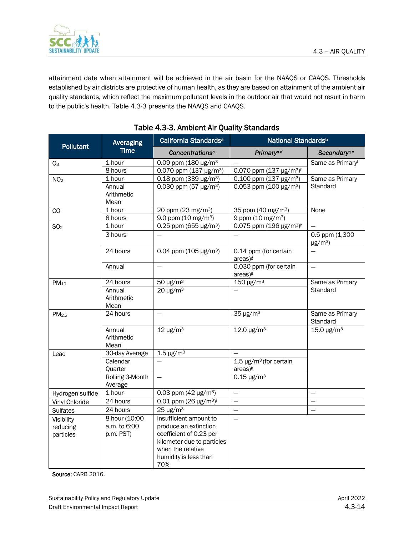

|                                                        |                                                        |                                                                                                                                                                                 |                                                                                                                                                                                                                                                                                                                                           | 4.3 - AIR QUALITY                          |
|--------------------------------------------------------|--------------------------------------------------------|---------------------------------------------------------------------------------------------------------------------------------------------------------------------------------|-------------------------------------------------------------------------------------------------------------------------------------------------------------------------------------------------------------------------------------------------------------------------------------------------------------------------------------------|--------------------------------------------|
|                                                        |                                                        | to the public's health. Table 4.3-3 presents the NAAQS and CAAQS.<br>Table 4.3-3. Ambient Air Quality Standards                                                                 | attainment date when attainment will be achieved in the air basin for the NAAQS or CAAQS. Thresholds<br>established by air districts are protective of human health, as they are based on attainment of the ambient air<br>quality standards, which reflect the maximum pollutant levels in the outdoor air that would not result in harm |                                            |
|                                                        | Averaging                                              | California Standards <sup>a</sup>                                                                                                                                               | National Standards <sup>b</sup>                                                                                                                                                                                                                                                                                                           |                                            |
| <b>Pollutant</b>                                       | <b>Time</b>                                            | Concentrations <sup>c</sup>                                                                                                                                                     | Primary <sup>c.d</sup>                                                                                                                                                                                                                                                                                                                    | Secondary <sup>c,e</sup>                   |
| O <sub>3</sub>                                         | 1 hour<br>8 hours                                      | 0.09 ppm (180 $\mu$ g/m <sup>3</sup><br>0.070 ppm (137 $\mu$ g/m <sup>3</sup> )                                                                                                 | 0.070 ppm $(137 \text{ µg/m}^3)^f$                                                                                                                                                                                                                                                                                                        | Same as Primaryf                           |
| NO <sub>2</sub>                                        | 1 hour<br>Annual<br>Arithmetic<br>Mean                 | 0.18 ppm (339 $\mu$ g/m <sup>3</sup> )<br>0.030 ppm $(57 \mu g/m^3)$                                                                                                            | 0.100 ppm (137 µg/m <sup>3</sup> )<br>0.053 ppm (100 $\mu$ g/m <sup>3</sup> )                                                                                                                                                                                                                                                             | Same as Primary<br>Standard                |
| CO                                                     | 1 hour<br>8 hours                                      | 20 ppm (23 mg/m <sup>3</sup> )<br>9.0 ppm $(10 \text{ mg/m}^3)$                                                                                                                 | 35 ppm (40 mg/m <sup>3</sup> )<br>9 ppm (10 mg/m <sup>3</sup> )                                                                                                                                                                                                                                                                           | None                                       |
| SO <sub>2</sub>                                        | 1 hour<br>3 hours                                      | 0.25 ppm (655 µg/m <sup>3</sup> )                                                                                                                                               | 0.075 ppm (196 µg/m <sup>3)h</sup>                                                                                                                                                                                                                                                                                                        | 0.5 ppm (1,300<br>$\mu$ g/m <sup>3</sup> ) |
|                                                        | 24 hours                                               | 0.04 ppm (105 $\mu$ g/m <sup>3</sup> )                                                                                                                                          | 0.14 ppm (for certain<br>areas) <sup>g</sup>                                                                                                                                                                                                                                                                                              |                                            |
|                                                        | Annual                                                 |                                                                                                                                                                                 | 0.030 ppm (for certain<br>areas) <sup>g</sup>                                                                                                                                                                                                                                                                                             |                                            |
| $PM_{10}$                                              | 24 hours<br>Annual<br>Arithmetic<br>Mean               | 50 µg/m <sup>3</sup><br>$20 \mu g/m^3$                                                                                                                                          | 150 µg/m <sup>3</sup>                                                                                                                                                                                                                                                                                                                     | Same as Primary<br>Standard                |
| PM <sub>2.5</sub>                                      | 24 hours                                               |                                                                                                                                                                                 | $35 \,\mathrm{\upmu g/m^3}$                                                                                                                                                                                                                                                                                                               | Same as Primary<br>Standard                |
|                                                        | Annual<br>Arithmetic<br>Mean                           | $12 \mu g/m^3$                                                                                                                                                                  | 12.0 $\mu$ g/m <sup>3i</sup>                                                                                                                                                                                                                                                                                                              | 15.0 $\mu$ g/m <sup>3</sup>                |
| Lead                                                   | 30-day Average                                         | $1.5 \,\mathrm{\upmu g/m^3}$                                                                                                                                                    |                                                                                                                                                                                                                                                                                                                                           |                                            |
|                                                        | Calendar<br>Quarter                                    |                                                                                                                                                                                 | $1.5 \,\mathrm{\upmu g/m^3}$ (for certain<br>area <sup>k</sup>                                                                                                                                                                                                                                                                            |                                            |
|                                                        | Rolling 3-Month<br>Average                             |                                                                                                                                                                                 | $0.15 \,\mathrm{\upmu g/m^3}$                                                                                                                                                                                                                                                                                                             |                                            |
| Hydrogen sulfide                                       | 1 hour                                                 | 0.03 ppm $(42 \text{ µg/m}^3)$                                                                                                                                                  |                                                                                                                                                                                                                                                                                                                                           |                                            |
| Vinyl Chloride                                         | 24 hours                                               | 0.01 ppm (26 $\mu$ g/m <sup>3</sup> ) <sup>j</sup>                                                                                                                              | $\overline{\phantom{0}}$                                                                                                                                                                                                                                                                                                                  |                                            |
| <b>Sulfates</b><br>Visibility<br>reducing<br>particles | 24 hours<br>8 hour (10:00<br>a.m. to 6:00<br>p.m. PST) | $25 \mu g/m^3$<br>Insufficient amount to<br>produce an extinction<br>coefficient of 0.23 per<br>kilometer due to particles<br>when the relative<br>humidity is less than<br>70% | $\overline{\phantom{0}}$                                                                                                                                                                                                                                                                                                                  | $\qquad \qquad -$                          |

### <span id="page-13-0"></span>Table 4.3-3. Ambient Air Quality Standards

Source: CARB 2016.

Sustainability Policy and Regulatory Update April 2022 and Sustainability Policy and Regulatory Update April 2022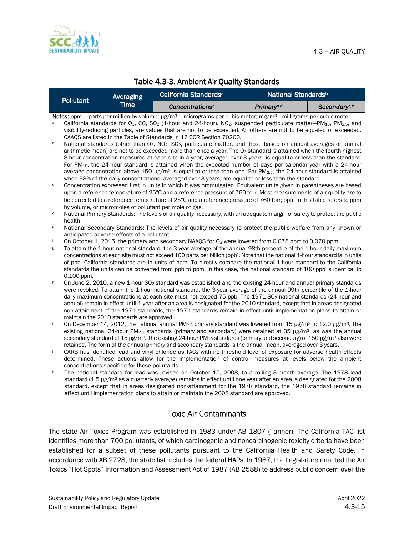

| Table 4.3-3. Ambient Air Quality Standards |  |  |  |
|--------------------------------------------|--|--|--|
|--------------------------------------------|--|--|--|

| Pollutant' | Averaging   | California Standards <sup>a</sup> | National Standards <sup>b</sup> |                          |
|------------|-------------|-----------------------------------|---------------------------------|--------------------------|
|            | <b>Time</b> | Concentrations <sup>c</sup>       | Primary <sup>c.d</sup>          | Secondary <sup>c,e</sup> |

- Notes: ppm = parts per million by volume;  $\mu g/m^3$  = micrograms per cubic meter; mg/m<sup>3</sup> = milligrams per cubic meter. California standards for O<sub>3</sub>, CO, SO<sub>2</sub> (1-hour and 24-hour), NO<sub>2</sub>, suspended particulate matter-PM<sub>10</sub>, PM<sub>2.5</sub>, and visibility-reducing particles, are values that are not to be exceeded. All others are not to be equaled or exceeded. CAAQS are listed in the Table of Standards in 17 CCR Section 70200.
- National standards (other than O<sub>3</sub>, NO<sub>2</sub>, SO<sub>2</sub>, particulate matter, and those based on annual averages or annual arithmetic mean) are not to be exceeded more than once a year. The O<sub>3</sub> standard is attained when the fourth highest 8-hour concentration measured at each site in a year, averaged over 3 years, is equal to or less than the standard. For PM10, the 24-hour standard is attained when the expected number of days per calendar year with a 24-hour average concentration above 150  $\mu$ g/m<sup>3</sup> is equal to or less than one. For PM<sub>2.5</sub>, the 24-hour standard is attained when 98% of the daily concentrations, averaged over 3 years, are equal to or less than the standard.
- $\degree$  Concentration expressed first in units in which it was promulgated. Equivalent units given in parentheses are based upon a reference temperature of 25°C and a reference pressure of 760 torr. Most measurements of air quality are to be corrected to a reference temperature of 25°C and a reference pressure of 760 torr; ppm in this table refers to ppm by volume, or micromoles of pollutant per mole of gas.
- <sup>d</sup> National Primary Standards: The levels of air quality necessary, with an adequate margin of safety to protect the public health.
- <sup>e</sup> National Secondary Standards: The levels of air quality necessary to protect the public welfare from any known or anticipated adverse effects of a pollutant.
- On October 1, 2015, the primary and secondary NAAQS for O<sub>3</sub> were lowered from 0.075 ppm to 0.070 ppm.
- <sup>g</sup> To attain the 1-hour national standard, the 3-year average of the annual 98th percentile of the 1-hour daily maximum concentrations at each site must not exceed 100 parts per billion (ppb). Note that the national 1-hour standard is in units of ppb. California standards are in units of ppm. To directly compare the national 1-hour standard to the California standards the units can be converted from ppb to ppm. In this case, the national standard of 100 ppb is identical to 0.100 ppm.
- h On June 2, 2010, a new 1-hour SO<sub>2</sub> standard was established and the existing 24-hour and annual primary standards were revoked. To attain the 1-hour national standard, the 3-year average of the annual 99th percentile of the 1-hour daily maximum concentrations at each site must not exceed 75 ppb. The 1971 SO<sub>2</sub> national standards (24-hour and annual) remain in effect until 1 year after an area is designated for the 2010 standard, except that in areas designated non-attainment of the 1971 standards, the 1971 standards remain in effect until implementation plans to attain or maintain the 2010 standards are approved.
- On December 14, 2012, the national annual PM<sub>2.5</sub> primary standard was lowered from 15 μg/m<sup>3</sup> to 12.0 μg/m<sup>3</sup>. The existing national 24-hour PM2.5 standards (primary and secondary) were retained at 35 μg/m3, as was the annual secondary standard of 15 μg/m<sup>3</sup>. The existing 24-hour PM<sub>10</sub> standards (primary and secondary) of 150 μg/m<sup>3</sup> also were retained. The form of the annual primary and secondary standards is the annual mean, averaged over 3 years.
- CARB has identified lead and vinyl chloride as TACs with no threshold level of exposure for adverse health effects determined. These actions allow for the implementation of control measures at levels below the ambient concentrations specified for these pollutants.
- k The national standard for lead was revised on October 15, 2008, to a rolling 3-month average. The 1978 lead standard (1.5 μg/m<sup>3</sup> as a quarterly average) remains in effect until one year after an area is designated for the 2008 standard, except that in areas designated non-attainment for the 1978 standard, the 1978 standard remains in effect until implementation plans to attain or maintain the 2008 standard are approved.

### Toxic Air Contaminants

The state Air Toxics Program was established in 1983 under AB 1807 (Tanner). The California TAC list identifies more than 700 pollutants, of which carcinogenic and noncarcinogenic toxicity criteria have been established for a subset of these pollutants pursuant to the California Health and Safety Code. In accordance with AB 2728, the state list includes the federal HAPs. In 1987, the Legislature enacted the Air Toxics "Hot Spots" Information and Assessment Act of 1987 (AB 2588) to address public concern over the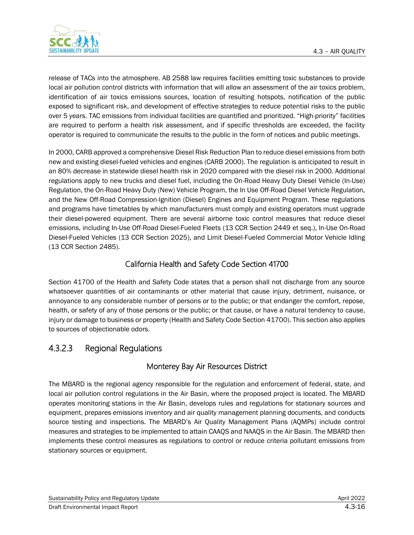

release of TACs into the atmosphere. AB 2588 law requires facilities emitting toxic substances to provide local air pollution control districts with information that will allow an assessment of the air toxics problem, identification of air toxics emissions sources, location of resulting hotspots, notification of the public exposed to significant risk, and development of effective strategies to reduce potential risks to the public over 5 years. TAC emissions from individual facilities are quantified and prioritized. "High-priority" facilities are required to perform a health risk assessment, and if specific thresholds are exceeded, the facility operator is required to communicate the results to the public in the form of notices and public meetings.

In 2000, CARB approved a comprehensive Diesel Risk Reduction Plan to reduce diesel emissions from both new and existing diesel-fueled vehicles and engines (CARB 2000). The regulation is anticipated to result in an 80% decrease in statewide diesel health risk in 2020 compared with the diesel risk in 2000. Additional regulations apply to new trucks and diesel fuel, including the On-Road Heavy Duty Diesel Vehicle (In-Use) Regulation, the On-Road Heavy Duty (New) Vehicle Program, the In Use Off-Road Diesel Vehicle Regulation, and the New Off-Road Compression-Ignition (Diesel) Engines and Equipment Program. These regulations and programs have timetables by which manufacturers must comply and existing operators must upgrade their diesel-powered equipment. There are several airborne toxic control measures that reduce diesel emissions, including In-Use Off-Road Diesel-Fueled Fleets (13 CCR Section 2449 et seq.), In-Use On-Road Diesel-Fueled Vehicles (13 CCR Section 2025), and Limit Diesel-Fueled Commercial Motor Vehicle Idling (13 CCR Section 2485).

### California Health and Safety Code Section 41700

Section 41700 of the Health and Safety Code states that a person shall not discharge from any source whatsoever quantities of air contaminants or other material that cause injury, detriment, nuisance, or annoyance to any considerable number of persons or to the public; or that endanger the comfort, repose, health, or safety of any of those persons or the public; or that cause, or have a natural tendency to cause, injury or damage to business or property (Health and Safety Code Section 41700). This section also applies to sources of objectionable odors.

## 4.3.2.3 Regional Regulations

### Monterey Bay Air Resources District

The MBARD is the regional agency responsible for the regulation and enforcement of federal, state, and local air pollution control regulations in the Air Basin, where the proposed project is located. The MBARD operates monitoring stations in the Air Basin, develops rules and regulations for stationary sources and equipment, prepares emissions inventory and air quality management planning documents, and conducts source testing and inspections. The MBARD's Air Quality Management Plans (AQMPs) include control measures and strategies to be implemented to attain CAAQS and NAAQS in the Air Basin. The MBARD then implements these control measures as regulations to control or reduce criteria pollutant emissions from stationary sources or equipment.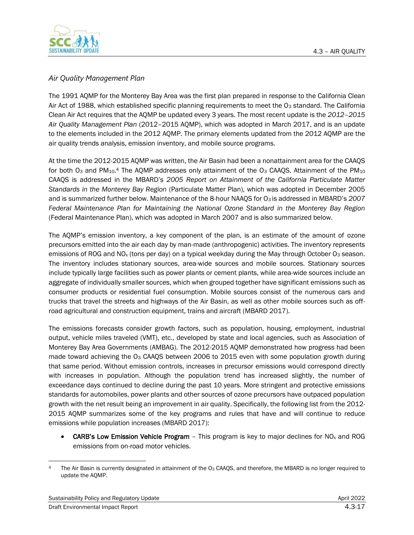

### *Air Quality Management Plan*

The 1991 AQMP for the Monterey Bay Area was the first plan prepared in response to the California Clean Air Act of 1988, which established specific planning requirements to meet the O<sub>3</sub> standard. The California Clean Air Act requires that the AQMP be updated every 3 years. The most recent update is the *2012–2015 Air Quality Management Plan* (2012–2015 AQMP), which was adopted in March 2017, and is an update to the elements included in the 2012 AQMP. The primary elements updated from the 2012 AQMP are the air quality trends analysis, emission inventory, and mobile source programs.

At the time the 2012-2015 AQMP was written, the Air Basin had been a nonattainment area for the CAAQS for both O<sub>3</sub> and PM<sub>10</sub>.4 The AQMP addresses only attainment of the O<sub>3</sub> CAAQS. Attainment of the PM<sub>10</sub> CAAQS is addressed in the MBARD's *2005 Report on Attainment of the California Particulate Matter Standards in the Monterey Bay Region* (Particulate Matter Plan), which was adopted in December 2005 and is summarized further below. Maintenance of the 8-hour NAAQS for O3 is addressed in MBARD's *2007 Federal Maintenance Plan for Maintaining the National Ozone Standard in the Monterey Bay Region* (Federal Maintenance Plan), which was adopted in March 2007 and is also summarized below.

The AQMP's emission inventory, a key component of the plan, is an estimate of the amount of ozone precursors emitted into the air each day by man-made (anthropogenic) activities. The inventory represents emissions of ROG and NO<sub>x</sub> (tons per day) on a typical weekday during the May through October O<sub>3</sub> season. The inventory includes stationary sources, area-wide sources and mobile sources. Stationary sources include typically large facilities such as power plants or cement plants, while area-wide sources include an aggregate of individually smaller sources, which when grouped together have significant emissions such as consumer products or residential fuel consumption. Mobile sources consist of the numerous cars and trucks that travel the streets and highways of the Air Basin, as well as other mobile sources such as offroad agricultural and construction equipment, trains and aircraft (MBARD 2017).

The emissions forecasts consider growth factors, such as population, housing, employment, industrial output, vehicle miles traveled (VMT), etc., developed by state and local agencies, such as Association of Monterey Bay Area Governments (AMBAG). The 2012-2015 AQMP demonstrated how progress had been made toward achieving the  $O<sub>3</sub>$  CAAQS between 2006 to 2015 even with some population growth during that same period. Without emission controls, increases in precursor emissions would correspond directly with increases in population. Although the population trend has increased slightly, the number of exceedance days continued to decline during the past 10 years. More stringent and protective emissions standards for automobiles, power plants and other sources of ozone precursors have outpaced population growth with the net result being an improvement in air quality. Specifically, the following list from the 2012- 2015 AQMP summarizes some of the key programs and rules that have and will continue to reduce emissions while population increases (MBARD 2017):

**CARB's Low Emission Vehicle Program** – This program is key to major declines for  $NO<sub>x</sub>$  and ROG emissions from on-road motor vehicles.

The Air Basin is currently designated in attainment of the  $O_3$  CAAQS, and therefore, the MBARD is no longer required to update the AQMP.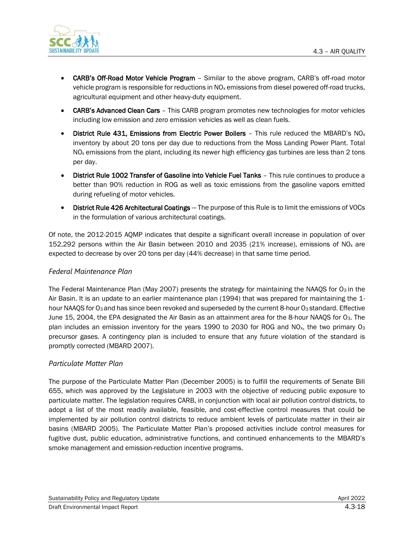

- **CARB's Off-Road Motor Vehicle Program** Similar to the above program, CARB's off-road motor vehicle program is responsible for reductions in  $NO<sub>x</sub>$  emissions from diesel powered off-road trucks, agricultural equipment and other heavy-duty equipment.
- CARB's Advanced Clean Cars This CARB program promotes new technologies for motor vehicles including low emission and zero emission vehicles as well as clean fuels.
- District Rule 431, Emissions from Electric Power Boilers This rule reduced the MBARD's NO<sub>x</sub> inventory by about 20 tons per day due to reductions from the Moss Landing Power Plant. Total  $NO<sub>x</sub>$  emissions from the plant, including its newer high efficiency gas turbines are less than 2 tons per day.
- District Rule 1002 Transfer of Gasoline into Vehicle Fuel Tanks This rule continues to produce a better than 90% reduction in ROG as well as toxic emissions from the gasoline vapors emitted during refueling of motor vehicles.
- District Rule 426 Architectural Coatings The purpose of this Rule is to limit the emissions of VOCs in the formulation of various architectural coatings.

Of note, the 2012-2015 AQMP indicates that despite a significant overall increase in population of over 152,292 persons within the Air Basin between 2010 and 2035 (21% increase), emissions of NO<sub>x</sub> are expected to decrease by over 20 tons per day (44% decrease) in that same time period.

#### *Federal Maintenance Plan*

The Federal Maintenance Plan (May 2007) presents the strategy for maintaining the NAAQS for  $O<sub>3</sub>$  in the Air Basin. It is an update to an earlier maintenance plan (1994) that was prepared for maintaining the 1 hour NAAQS for O<sub>3</sub> and has since been revoked and superseded by the current 8-hour O<sub>3</sub> standard. Effective June 15, 2004, the EPA designated the Air Basin as an attainment area for the 8-hour NAAQS for O3. The plan includes an emission inventory for the years 1990 to 2030 for ROG and NO<sub>x</sub>, the two primary O<sub>3</sub> precursor gases. A contingency plan is included to ensure that any future violation of the standard is promptly corrected (MBARD 2007).

#### *Particulate Matter Plan*

The purpose of the Particulate Matter Plan (December 2005) is to fulfill the requirements of Senate Bill 655, which was approved by the Legislature in 2003 with the objective of reducing public exposure to particulate matter. The legislation requires CARB, in conjunction with local air pollution control districts, to adopt a list of the most readily available, feasible, and cost-effective control measures that could be implemented by air pollution control districts to reduce ambient levels of particulate matter in their air basins (MBARD 2005). The Particulate Matter Plan's proposed activities include control measures for fugitive dust, public education, administrative functions, and continued enhancements to the MBARD's smoke management and emission-reduction incentive programs.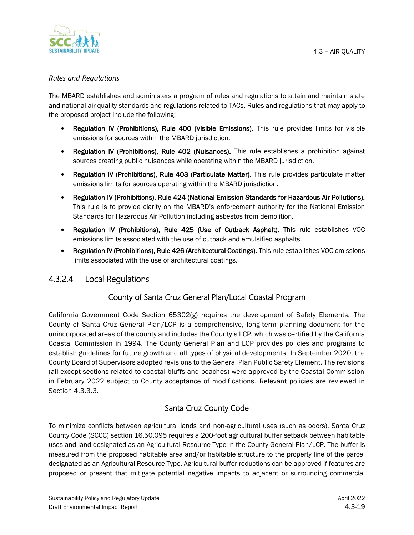

### *Rules and Regulations*

The MBARD establishes and administers a program of rules and regulations to attain and maintain state and national air quality standards and regulations related to TACs. Rules and regulations that may apply to the proposed project include the following:

- Regulation IV (Prohibitions), Rule 400 (Visible Emissions). This rule provides limits for visible emissions for sources within the MBARD jurisdiction.
- Regulation IV (Prohibitions), Rule 402 (Nuisances). This rule establishes a prohibition against sources creating public nuisances while operating within the MBARD jurisdiction.
- Regulation IV (Prohibitions), Rule 403 (Particulate Matter). This rule provides particulate matter emissions limits for sources operating within the MBARD jurisdiction.
- Regulation IV (Prohibitions), Rule 424 (National Emission Standards for Hazardous Air Pollutions). This rule is to provide clarity on the MBARD's enforcement authority for the National Emission Standards for Hazardous Air Pollution including asbestos from demolition.
- Regulation IV (Prohibitions), Rule 425 (Use of Cutback Asphalt). This rule establishes VOC emissions limits associated with the use of cutback and emulsified asphalts.
- Regulation IV (Prohibitions), Rule 426 (Architectural Coatings). This rule establishes VOC emissions limits associated with the use of architectural coatings.

### 4.3.2.4 Local Regulations

### County of Santa Cruz General Plan/Local Coastal Program

California Government Code Section 65302(g) requires the development of Safety Elements. The County of Santa Cruz General Plan/LCP is a comprehensive, long-term planning document for the unincorporated areas of the county and includes the County's LCP, which was certified by the California Coastal Commission in 1994. The County General Plan and LCP provides policies and programs to establish guidelines for future growth and all types of physical developments. In September 2020, the County Board of Supervisors adopted revisions to the General Plan Public Safety Element. The revisions (all except sections related to coastal bluffs and beaches) were approved by the Coastal Commission in February 2022 subject to County acceptance of modifications. Relevant policies are reviewed in Section 4.3.3.3.

### Santa Cruz County Code

To minimize conflicts between agricultural lands and non-agricultural uses (such as odors), Santa Cruz County Code (SCCC) section 16.50.095 requires a 200-foot agricultural buffer setback between habitable uses and land designated as an Agricultural Resource Type in the County General Plan/LCP. The buffer is measured from the proposed habitable area and/or habitable structure to the property line of the parcel designated as an Agricultural Resource Type. Agricultural buffer reductions can be approved if features are proposed or present that mitigate potential negative impacts to adjacent or surrounding commercial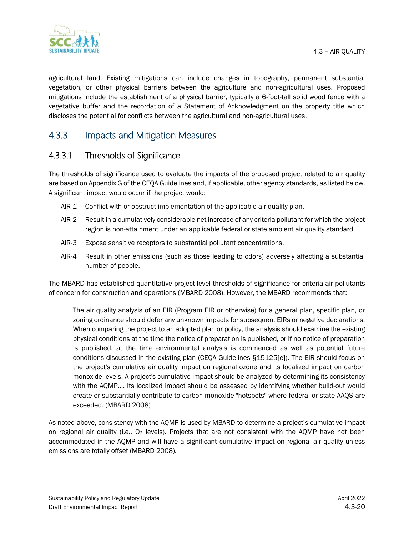

agricultural land. Existing mitigations can include changes in topography, permanent substantial vegetation, or other physical barriers between the agriculture and non-agricultural uses. Proposed mitigations include the establishment of a physical barrier, typically a 6-foot-tall solid wood fence with a vegetative buffer and the recordation of a Statement of Acknowledgment on the property title which discloses the potential for conflicts between the agricultural and non-agricultural uses.

## 4.3.3 Impacts and Mitigation Measures

## 4.3.3.1 Thresholds of Significance

The thresholds of significance used to evaluate the impacts of the proposed project related to air quality are based on Appendix G of the CEQA Guidelines and, if applicable, other agency standards, as listed below. A significant impact would occur if the project would:

- AIR-1 Conflict with or obstruct implementation of the applicable air quality plan.
- AIR-2 Result in a cumulatively considerable net increase of any criteria pollutant for which the project region is non-attainment under an applicable federal or state ambient air quality standard.
- AIR-3 Expose sensitive receptors to substantial pollutant concentrations.
- AIR-4 Result in other emissions (such as those leading to odors) adversely affecting a substantial number of people.

The MBARD has established quantitative project-level thresholds of significance for criteria air pollutants of concern for construction and operations (MBARD 2008). However, the MBARD recommends that:

The air quality analysis of an EIR (Program EIR or otherwise) for a general plan, specific plan, or zoning ordinance should defer any unknown impacts for subsequent EIRs or negative declarations. When comparing the project to an adopted plan or policy, the analysis should examine the existing physical conditions at the time the notice of preparation is published, or if no notice of preparation is published, at the time environmental analysis is commenced as well as potential future conditions discussed in the existing plan (CEQA Guidelines §15125[e]). The EIR should focus on the project's cumulative air quality impact on regional ozone and its localized impact on carbon monoxide levels. A project's cumulative impact should be analyzed by determining its consistency with the AQMP.... Its localized impact should be assessed by identifying whether build-out would create or substantially contribute to carbon monoxide "hotspots" where federal or state AAQS are exceeded. (MBARD 2008)

As noted above, consistency with the AQMP is used by MBARD to determine a project's cumulative impact on regional air quality (i.e., O<sub>3</sub> levels). Projects that are not consistent with the AOMP have not been accommodated in the AQMP and will have a significant cumulative impact on regional air quality unless emissions are totally offset (MBARD 2008).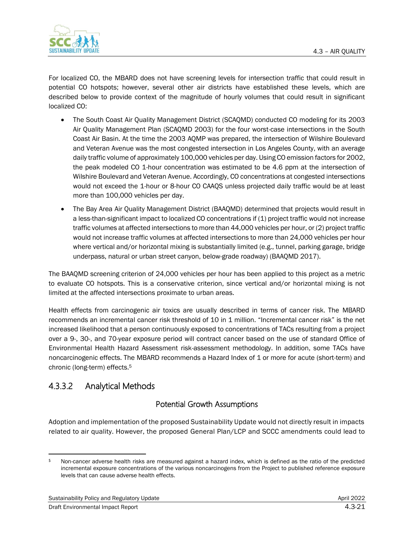

For localized CO, the MBARD does not have screening levels for intersection traffic that could result in potential CO hotspots; however, several other air districts have established these levels, which are described below to provide context of the magnitude of hourly volumes that could result in significant localized CO:

- The South Coast Air Quality Management District (SCAOMD) conducted CO modeling for its 2003 Air Quality Management Plan (SCAQMD 2003) for the four worst-case intersections in the South Coast Air Basin. At the time the 2003 AQMP was prepared, the intersection of Wilshire Boulevard and Veteran Avenue was the most congested intersection in Los Angeles County, with an average daily traffic volume of approximately 100,000 vehicles per day. Using CO emission factors for 2002, the peak modeled CO 1-hour concentration was estimated to be 4.6 ppm at the intersection of Wilshire Boulevard and Veteran Avenue. Accordingly, CO concentrations at congested intersections would not exceed the 1-hour or 8-hour CO CAAQS unless projected daily traffic would be at least more than 100,000 vehicles per day.
- The Bay Area Air Quality Management District (BAAOMD) determined that projects would result in a less-than-significant impact to localized CO concentrations if (1) project traffic would not increase traffic volumes at affected intersections to more than 44,000 vehicles per hour, or (2) project traffic would not increase traffic volumes at affected intersections to more than 24,000 vehicles per hour where vertical and/or horizontal mixing is substantially limited (e.g., tunnel, parking garage, bridge underpass, natural or urban street canyon, below-grade roadway) (BAAQMD 2017).

The BAAQMD screening criterion of 24,000 vehicles per hour has been applied to this project as a metric to evaluate CO hotspots. This is a conservative criterion, since vertical and/or horizontal mixing is not limited at the affected intersections proximate to urban areas.

Health effects from carcinogenic air toxics are usually described in terms of cancer risk. The MBARD recommends an incremental cancer risk threshold of 10 in 1 million. "Incremental cancer risk" is the net increased likelihood that a person continuously exposed to concentrations of TACs resulting from a project over a 9-, 30-, and 70-year exposure period will contract cancer based on the use of standard Office of Environmental Health Hazard Assessment risk-assessment methodology. In addition, some TACs have noncarcinogenic effects. The MBARD recommends a Hazard Index of 1 or more for acute (short-term) and chronic (long-term) effects.<sup>5</sup>

## 4.3.3.2 Analytical Methods

### Potential Growth Assumptions

Adoption and implementation of the proposed Sustainability Update would not directly result in impacts related to air quality. However, the proposed General Plan/LCP and SCCC amendments could lead to

<sup>5</sup> Non-cancer adverse health risks are measured against a hazard index, which is defined as the ratio of the predicted incremental exposure concentrations of the various noncarcinogens from the Project to published reference exposure levels that can cause adverse health effects.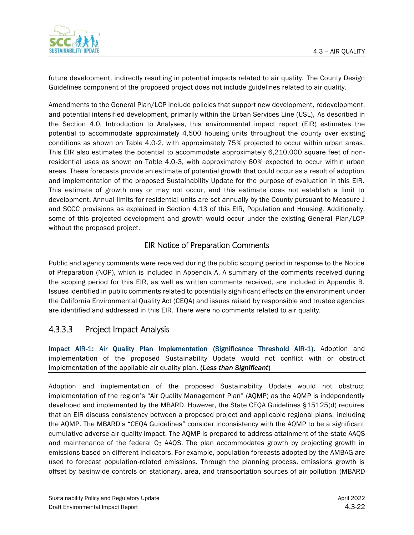

future development, indirectly resulting in potential impacts related to air quality. The County Design Guidelines component of the proposed project does not include guidelines related to air quality.

Amendments to the General Plan/LCP include policies that support new development, redevelopment, and potential intensified development, primarily within the Urban Services Line (USL), As described in the Section 4.0, Introduction to Analyses, this environmental impact report (EIR) estimates the potential to accommodate approximately 4,500 housing units throughout the county over existing conditions as shown on Table 4.0-2, with approximately 75% projected to occur within urban areas. This EIR also estimates the potential to accommodate approximately 6,210,000 square feet of nonresidential uses as shown on Table 4.0-3, with approximately 60% expected to occur within urban areas. These forecasts provide an estimate of potential growth that could occur as a result of adoption and implementation of the proposed Sustainability Update for the purpose of evaluation in this EIR. This estimate of growth may or may not occur, and this estimate does not establish a limit to development. Annual limits for residential units are set annually by the County pursuant to Measure J and SCCC provisions as explained in Section 4.13 of this EIR, Population and Housing. Additionally, some of this projected development and growth would occur under the existing General Plan/LCP without the proposed project.

### EIR Notice of Preparation Comments

Public and agency comments were received during the public scoping period in response to the Notice of Preparation (NOP), which is included in Appendix A. A summary of the comments received during the scoping period for this EIR, as well as written comments received, are included in Appendix B. Issues identified in public comments related to potentially significant effects on the environment under the California Environmental Quality Act (CEQA) and issues raised by responsible and trustee agencies are identified and addressed in this EIR. There were no comments related to air quality.

## 4.3.3.3 Project Impact Analysis

Impact AIR-1: Air Quality Plan Implementation (Significance Threshold AIR-1). Adoption and implementation of the proposed Sustainability Update would not conflict with or obstruct implementation of the appliable air quality plan. (*Less than Significant*)

Adoption and implementation of the proposed Sustainability Update would not obstruct implementation of the region's "Air Quality Management Plan" (AQMP) as the AQMP is independently developed and implemented by the MBARD. However, the State CEQA Guidelines §15125(d) requires that an EIR discuss consistency between a proposed project and applicable regional plans, including the AQMP. The MBARD's "CEQA Guidelines" consider inconsistency with the AQMP to be a significant cumulative adverse air quality impact. The AQMP is prepared to address attainment of the state AAQS and maintenance of the federal O<sub>3</sub> AAQS. The plan accommodates growth by projecting growth in emissions based on different indicators. For example, population forecasts adopted by the AMBAG are used to forecast population-related emissions. Through the planning process, emissions growth is offset by basinwide controls on stationary, area, and transportation sources of air pollution (MBARD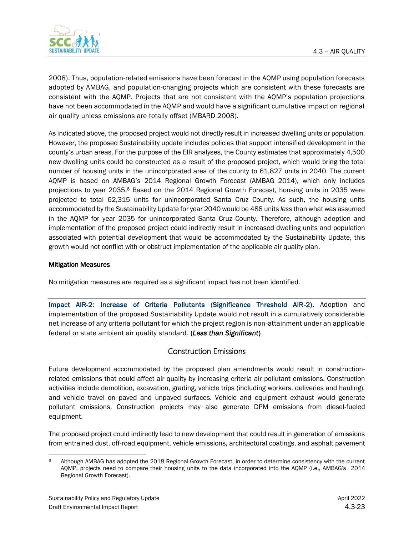

2008). Thus, population-related emissions have been forecast in the AQMP using population forecasts adopted by AMBAG, and population-changing projects which are consistent with these forecasts are consistent with the AQMP. Projects that are not consistent with the AQMP's population projections have not been accommodated in the AQMP and would have a significant cumulative impact on regional air quality unless emissions are totally offset (MBARD 2008).

As indicated above, the proposed project would not directly result in increased dwelling units or population. However, the proposed Sustainability update includes policies that support intensified development in the county's urban areas. For the purpose of the EIR analyses, the County estimates that approximately 4,500 new dwelling units could be constructed as a result of the proposed project, which would bring the total number of housing units in the unincorporated area of the county to 61,827 units in 2040. The current AQMP is based on AMBAG's 2014 Regional Growth Forecast (AMBAG 2014), which only includes projections to year 2035.<sup>6</sup> Based on the 2014 Regional Growth Forecast, housing units in 2035 were projected to total 62,315 units for unincorporated Santa Cruz County. As such, the housing units accommodated by the Sustainability Update for year 2040 would be 488 units *less* than what was assumed in the AQMP for year 2035 for unincorporated Santa Cruz County. Therefore, although adoption and implementation of the proposed project could indirectly result in increased dwelling units and population associated with potential development that would be accommodated by the Sustainability Update, this growth would not conflict with or obstruct implementation of the applicable air quality plan.

#### Mitigation Measures

No mitigation measures are required as a significant impact has not been identified.

Impact AIR-2: Increase of Criteria Pollutants (Significance Threshold AIR-2). Adoption and implementation of the proposed Sustainability Update would not result in a cumulatively considerable net increase of any criteria pollutant for which the project region is non-attainment under an applicable federal or state ambient air quality standard. (*Less than Significant*)

### Construction Emissions

Future development accommodated by the proposed plan amendments would result in constructionrelated emissions that could affect air quality by increasing criteria air pollutant emissions. Construction activities include demolition, excavation, grading, vehicle trips (including workers, deliveries and hauling), and vehicle travel on paved and unpaved surfaces. Vehicle and equipment exhaust would generate pollutant emissions. Construction projects may also generate DPM emissions from diesel-fueled equipment.

The proposed project could indirectly lead to new development that could result in generation of emissions from entrained dust, off-road equipment, vehicle emissions, architectural coatings, and asphalt pavement

<sup>6</sup> Although AMBAG has adopted the 2018 Regional Growth Forecast, in order to determine consistency with the current AQMP, projects need to compare their housing units to the data incorporated into the AQMP (i.e., AMBAG's 2014 Regional Growth Forecast).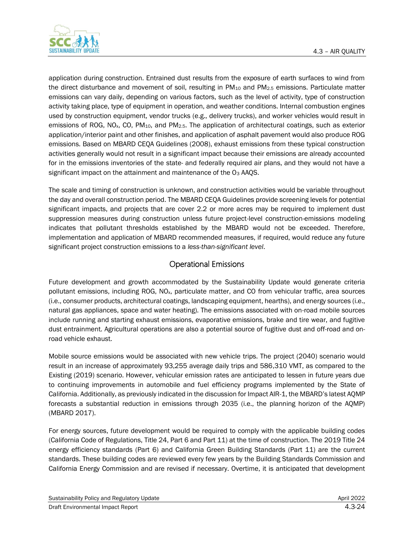

application during construction. Entrained dust results from the exposure of earth surfaces to wind from the direct disturbance and movement of soil, resulting in  $PM_{10}$  and  $PM_{2.5}$  emissions. Particulate matter emissions can vary daily, depending on various factors, such as the level of activity, type of construction activity taking place, type of equipment in operation, and weather conditions. Internal combustion engines used by construction equipment, vendor trucks (e.g., delivery trucks), and worker vehicles would result in emissions of ROG, NO<sub>x</sub>, CO, PM<sub>10</sub>, and PM<sub>2.5</sub>. The application of architectural coatings, such as exterior application/interior paint and other finishes, and application of asphalt pavement would also produce ROG emissions. Based on MBARD CEQA Guidelines (2008), exhaust emissions from these typical construction activities generally would not result in a significant impact because their emissions are already accounted for in the emissions inventories of the state- and federally required air plans, and they would not have a significant impact on the attainment and maintenance of the O<sub>3</sub> AAQS.

The scale and timing of construction is unknown, and construction activities would be variable throughout the day and overall construction period. The MBARD CEQA Guidelines provide screening levels for potential significant impacts, and projects that are cover 2.2 or more acres may be required to implement dust suppression measures during construction unless future project-level construction-emissions modeling indicates that pollutant thresholds established by the MBARD would not be exceeded. Therefore, implementation and application of MBARD recommended measures, if required, would reduce any future significant project construction emissions to a *less-than-significant level*.

### Operational Emissions

Future development and growth accommodated by the Sustainability Update would generate criteria pollutant emissions, including ROG, NOx, particulate matter, and CO from vehicular traffic, area sources (i.e., consumer products, architectural coatings, landscaping equipment, hearths), and energy sources (i.e., natural gas appliances, space and water heating). The emissions associated with on-road mobile sources include running and starting exhaust emissions, evaporative emissions, brake and tire wear, and fugitive dust entrainment. Agricultural operations are also a potential source of fugitive dust and off-road and onroad vehicle exhaust.

Mobile source emissions would be associated with new vehicle trips. The project (2040) scenario would result in an increase of approximately 93,255 average daily trips and 586,310 VMT, as compared to the Existing (2019) scenario. However, vehicular emission rates are anticipated to lessen in future years due to continuing improvements in automobile and fuel efficiency programs implemented by the State of California. Additionally, as previously indicated in the discussion for Impact AIR-1, the MBARD's latest AQMP forecasts a substantial reduction in emissions through 2035 (i.e., the planning horizon of the AQMP) (MBARD 2017).

For energy sources, future development would be required to comply with the applicable building codes (California Code of Regulations, Title 24, Part 6 and Part 11) at the time of construction. The 2019 Title 24 energy efficiency standards (Part 6) and California Green Building Standards (Part 11) are the current standards. These building codes are reviewed every few years by the Building Standards Commission and California Energy Commission and are revised if necessary. Overtime, it is anticipated that development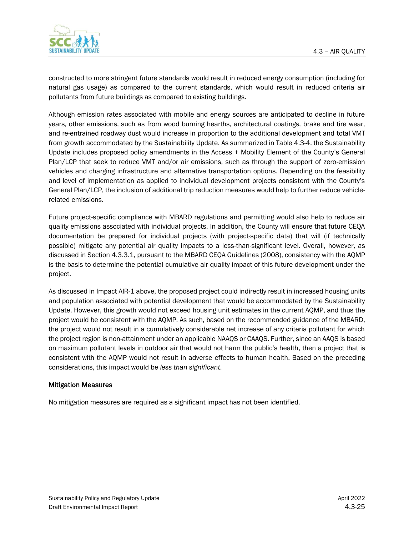

constructed to more stringent future standards would result in reduced energy consumption (including for natural gas usage) as compared to the current standards, which would result in reduced criteria air pollutants from future buildings as compared to existing buildings.

Although emission rates associated with mobile and energy sources are anticipated to decline in future years, other emissions, such as from wood burning hearths, architectural coatings, brake and tire wear, and re-entrained roadway dust would increase in proportion to the additional development and total VMT from growth accommodated by the Sustainability Update. As summarized in Table 4.3-4, the Sustainability Update includes proposed policy amendments in the Access + Mobility Element of the County's General Plan/LCP that seek to reduce VMT and/or air emissions, such as through the support of zero-emission vehicles and charging infrastructure and alternative transportation options. Depending on the feasibility and level of implementation as applied to individual development projects consistent with the County's General Plan/LCP, the inclusion of additional trip reduction measures would help to further reduce vehiclerelated emissions.

Future project-specific compliance with MBARD regulations and permitting would also help to reduce air quality emissions associated with individual projects. In addition, the County will ensure that future CEQA documentation be prepared for individual projects (with project-specific data) that will (if technically possible) mitigate any potential air quality impacts to a less-than-significant level. Overall, however, as discussed in Section 4.3.3.1, pursuant to the MBARD CEQA Guidelines (2008), consistency with the AQMP is the basis to determine the potential cumulative air quality impact of this future development under the project.

As discussed in Impact AIR-1 above, the proposed project could indirectly result in increased housing units and population associated with potential development that would be accommodated by the Sustainability Update. However, this growth would not exceed housing unit estimates in the current AQMP, and thus the project would be consistent with the AQMP. As such, based on the recommended guidance of the MBARD, the project would not result in a cumulatively considerable net increase of any criteria pollutant for which the project region is non-attainment under an applicable NAAQS or CAAQS. Further, since an AAQS is based on maximum pollutant levels in outdoor air that would not harm the public's health, then a project that is consistent with the AQMP would not result in adverse effects to human health. Based on the preceding considerations, this impact would be *less than significant*.

#### Mitigation Measures

No mitigation measures are required as a significant impact has not been identified.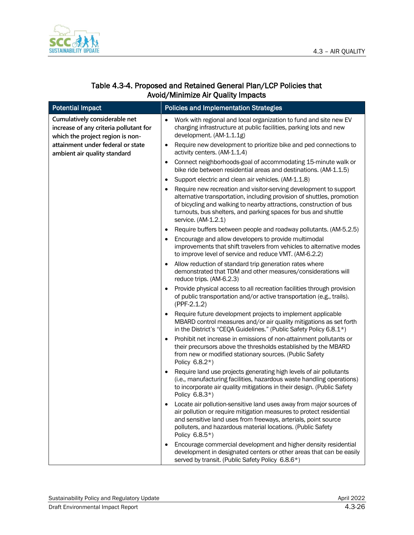

### Table 4.3-4. Proposed and Retained General Plan/LCP Policies that Avoid/Minimize Air Quality Impacts

| <b>Potential Impact</b>                                                                                     | <b>Policies and Implementation Strategies</b>                                                                                                                                                                                                                                                               |
|-------------------------------------------------------------------------------------------------------------|-------------------------------------------------------------------------------------------------------------------------------------------------------------------------------------------------------------------------------------------------------------------------------------------------------------|
| Cumulatively considerable net<br>increase of any criteria pollutant for<br>which the project region is non- | Work with regional and local organization to fund and site new EV<br>$\bullet$<br>charging infrastructure at public facilities, parking lots and new<br>development. (AM-1.1.1g)                                                                                                                            |
| attainment under federal or state<br>ambient air quality standard                                           | Require new development to prioritize bike and ped connections to<br>$\bullet$<br>activity centers. (AM-1.1.4)                                                                                                                                                                                              |
|                                                                                                             | Connect neighborhoods-goal of accommodating 15-minute walk or<br>bike ride between residential areas and destinations. (AM-1.1.5)                                                                                                                                                                           |
|                                                                                                             | Support electric and clean air vehicles. (AM-1.1.8)<br>$\bullet$                                                                                                                                                                                                                                            |
|                                                                                                             | Require new recreation and visitor-serving development to support<br>alternative transportation, including provision of shuttles, promotion<br>of bicycling and walking to nearby attractions, construction of bus<br>turnouts, bus shelters, and parking spaces for bus and shuttle<br>service. (AM-1.2.1) |
|                                                                                                             | Require buffers between people and roadway pollutants. (AM-5.2.5)<br>$\bullet$                                                                                                                                                                                                                              |
|                                                                                                             | Encourage and allow developers to provide multimodal<br>improvements that shift travelers from vehicles to alternative modes<br>to improve level of service and reduce VMT. (AM-6.2.2)                                                                                                                      |
|                                                                                                             | Allow reduction of standard trip generation rates where<br>demonstrated that TDM and other measures/considerations will<br>reduce trips. (AM-6.2.3)                                                                                                                                                         |
|                                                                                                             | Provide physical access to all recreation facilities through provision<br>of public transportation and/or active transportation (e.g., trails).<br>$(PPF-2.1.2)$                                                                                                                                            |
|                                                                                                             | Require future development projects to implement applicable<br>MBARD control measures and/or air quality mitigations as set forth<br>in the District's "CEQA Guidelines." (Public Safety Policy 6.8.1*)                                                                                                     |
|                                                                                                             | Prohibit net increase in emissions of non-attainment pollutants or<br>$\bullet$<br>their precursors above the thresholds established by the MBARD<br>from new or modified stationary sources. (Public Safety<br>Policy 6.8.2*)                                                                              |
|                                                                                                             | Require land use projects generating high levels of air pollutants<br>(i.e., manufacturing facilities, hazardous waste handling operations)<br>to incorporate air quality mitigations in their design. (Public Safety<br>Policy 6.8.3*)                                                                     |
|                                                                                                             | Locate air pollution-sensitive land uses away from major sources of<br>air pollution or require mitigation measures to protect residential<br>and sensitive land uses from freeways, arterials, point source<br>polluters, and hazardous material locations. (Public Safety<br>Policy 6.8.5*)               |
|                                                                                                             | Encourage commercial development and higher density residential<br>development in designated centers or other areas that can be easily<br>served by transit. (Public Safety Policy 6.8.6*)                                                                                                                  |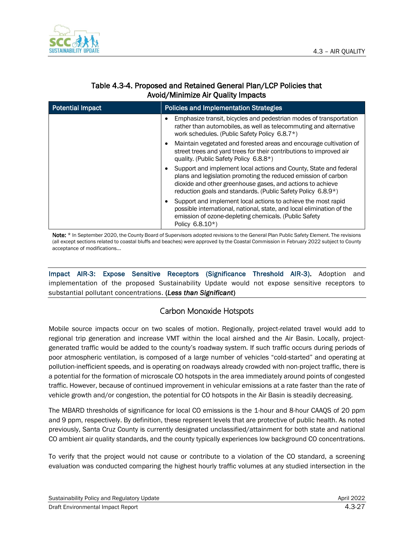

| <b>Potential Impact</b> | <b>Policies and Implementation Strategies</b>                                                                                                                                                                                                                                       |
|-------------------------|-------------------------------------------------------------------------------------------------------------------------------------------------------------------------------------------------------------------------------------------------------------------------------------|
|                         | Emphasize transit, bicycles and pedestrian modes of transportation<br>$\bullet$<br>rather than automobiles, as well as telecommuting and alternative<br>work schedules. (Public Safety Policy 6.8.7*)                                                                               |
|                         | Maintain vegetated and forested areas and encourage cultivation of<br>٠<br>street trees and yard trees for their contributions to improved air<br>quality. (Public Safety Policy 6.8.8*)                                                                                            |
|                         | Support and implement local actions and County, State and federal<br>٠<br>plans and legislation promoting the reduced emission of carbon<br>dioxide and other greenhouse gases, and actions to achieve<br>reduction goals and standards. (Public Safety Policy 6.8.9 <sup>*</sup> ) |
|                         | Support and implement local actions to achieve the most rapid<br>٠<br>possible international, national, state, and local elimination of the<br>emission of ozone-depleting chemicals. (Public Safety<br>Policy 6.8.10*)                                                             |

### Table 4.3-4. Proposed and Retained General Plan/LCP Policies that Avoid/Minimize Air Quality Impacts

Note: \* In September 2020, the County Board of Supervisors adopted revisions to the General Plan Public Safety Element. The revisions (all except sections related to coastal bluffs and beaches) were approved by the Coastal Commission in February 2022 subject to County acceptance of modifications...

Impact AIR-3: Expose Sensitive Receptors (Significance Threshold AIR-3). Adoption and implementation of the proposed Sustainability Update would not expose sensitive receptors to substantial pollutant concentrations. (*Less than Significant*)

### Carbon Monoxide Hotspots

Mobile source impacts occur on two scales of motion. Regionally, project-related travel would add to regional trip generation and increase VMT within the local airshed and the Air Basin. Locally, projectgenerated traffic would be added to the county's roadway system. If such traffic occurs during periods of poor atmospheric ventilation, is composed of a large number of vehicles "cold-started" and operating at pollution-inefficient speeds, and is operating on roadways already crowded with non-project traffic, there is a potential for the formation of microscale CO hotspots in the area immediately around points of congested traffic. However, because of continued improvement in vehicular emissions at a rate faster than the rate of vehicle growth and/or congestion, the potential for CO hotspots in the Air Basin is steadily decreasing.

The MBARD thresholds of significance for local CO emissions is the 1-hour and 8-hour CAAQS of 20 ppm and 9 ppm, respectively. By definition, these represent levels that are protective of public health. As noted previously, Santa Cruz County is currently designated unclassified/attainment for both state and national CO ambient air quality standards, and the county typically experiences low background CO concentrations.

To verify that the project would not cause or contribute to a violation of the CO standard, a screening evaluation was conducted comparing the highest hourly traffic volumes at any studied intersection in the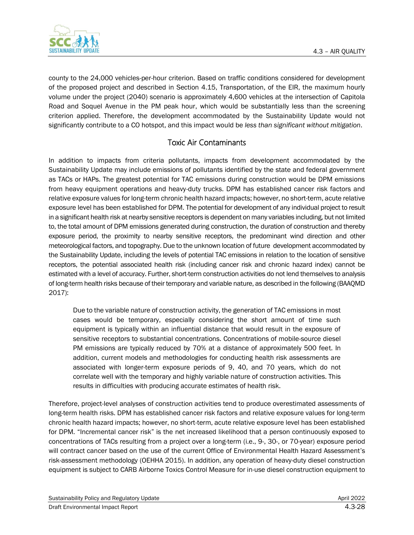

county to the 24,000 vehicles-per-hour criterion. Based on traffic conditions considered for development of the proposed project and described in Section 4.15, Transportation, of the EIR, the maximum hourly volume under the project (2040) scenario is approximately 4,600 vehicles at the intersection of Capitola Road and Soquel Avenue in the PM peak hour, which would be substantially less than the screening criterion applied. Therefore, the development accommodated by the Sustainability Update would not significantly contribute to a CO hotspot, and this impact would be *less than significant without mitigation*.

### Toxic Air Contaminants

In addition to impacts from criteria pollutants, impacts from development accommodated by the Sustainability Update may include emissions of pollutants identified by the state and federal government as TACs or HAPs. The greatest potential for TAC emissions during construction would be DPM emissions from heavy equipment operations and heavy-duty trucks. DPM has established cancer risk factors and relative exposure values for long-term chronic health hazard impacts; however, no short-term, acute relative exposure level has been established for DPM. The potential for development of any individual project to result in a significant health risk at nearby sensitive receptors is dependent on many variables including, but not limited to, the total amount of DPM emissions generated during construction, the duration of construction and thereby exposure period, the proximity to nearby sensitive receptors, the predominant wind direction and other meteorological factors, and topography. Due to the unknown location of future development accommodated by the Sustainability Update, including the levels of potential TAC emissions in relation to the location of sensitive receptors, the potential associated health risk (including cancer risk and chronic hazard index) cannot be estimated with a level of accuracy. Further, short-term construction activities do not lend themselves to analysis of long-term health risks because of their temporary and variable nature, as described in the following (BAAQMD 2017):

Due to the variable nature of construction activity, the generation of TAC emissions in most cases would be temporary, especially considering the short amount of time such equipment is typically within an influential distance that would result in the exposure of sensitive receptors to substantial concentrations. Concentrations of mobile-source diesel PM emissions are typically reduced by 70% at a distance of approximately 500 feet. In addition, current models and methodologies for conducting health risk assessments are associated with longer-term exposure periods of 9, 40, and 70 years, which do not correlate well with the temporary and highly variable nature of construction activities. This results in difficulties with producing accurate estimates of health risk.

Therefore, project-level analyses of construction activities tend to produce overestimated assessments of long-term health risks. DPM has established cancer risk factors and relative exposure values for long-term chronic health hazard impacts; however, no short-term, acute relative exposure level has been established for DPM. "Incremental cancer risk" is the net increased likelihood that a person continuously exposed to concentrations of TACs resulting from a project over a long-term (i.e., 9-, 30-, or 70-year) exposure period will contract cancer based on the use of the current Office of Environmental Health Hazard Assessment's risk-assessment methodology (OEHHA 2015). In addition, any operation of heavy-duty diesel construction equipment is subject to CARB Airborne Toxics Control Measure for in-use diesel construction equipment to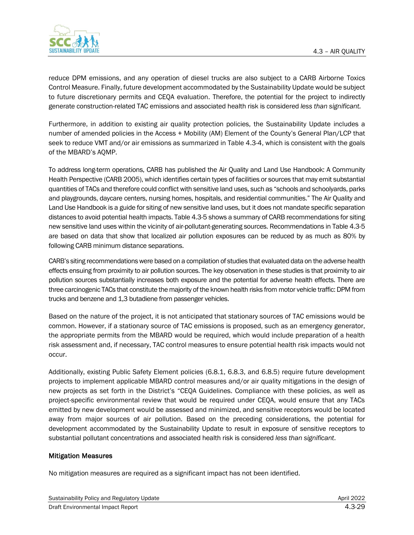

reduce DPM emissions, and any operation of diesel trucks are also subject to a CARB Airborne Toxics Control Measure. Finally, future development accommodated by the Sustainability Update would be subject to future discretionary permits and CEQA evaluation. Therefore, the potential for the project to indirectly generate construction-related TAC emissions and associated health risk is considered *less than significant.*

Furthermore, in addition to existing air quality protection policies, the Sustainability Update includes a number of amended policies in the Access + Mobility (AM) Element of the County's General Plan/LCP that seek to reduce VMT and/or air emissions as summarized in Table 4.3-4, which is consistent with the goals of the MBARD's AQMP.

To address long-term operations, CARB has published the Air Quality and Land Use Handbook: A Community Health Perspective (CARB 2005), which identifies certain types of facilities or sources that may emit substantial quantities of TACs and therefore could conflict with sensitive land uses, such as "schools and schoolyards, parks and playgrounds, daycare centers, nursing homes, hospitals, and residential communities." The Air Quality and Land Use Handbook is a guide for siting of new sensitive land uses, but it does not mandate specific separation distances to avoid potential health impacts. Table 4.3-5 shows a summary of CARB recommendations for siting new sensitive land uses within the vicinity of air-pollutant-generating sources. Recommendations in Table 4.3-5 are based on data that show that localized air pollution exposures can be reduced by as much as 80% by following CARB minimum distance separations.

CARB's siting recommendations were based on a compilation of studies that evaluated data on the adverse health effects ensuing from proximity to air pollution sources. The key observation in these studies is that proximity to air pollution sources substantially increases both exposure and the potential for adverse health effects. There are three carcinogenic TACs that constitute the majority of the known health risks from motor vehicle traffic: DPM from trucks and benzene and 1,3 butadiene from passenger vehicles.

Based on the nature of the project, it is not anticipated that stationary sources of TAC emissions would be common. However, if a stationary source of TAC emissions is proposed, such as an emergency generator, the appropriate permits from the MBARD would be required, which would include preparation of a health risk assessment and, if necessary, TAC control measures to ensure potential health risk impacts would not occur.

Additionally, existing Public Safety Element policies (6.8.1, 6.8.3, and 6.8.5) require future development projects to implement applicable MBARD control measures and/or air quality mitigations in the design of new projects as set forth in the District's "CEQA Guidelines. Compliance with these policies, as well as project-specific environmental review that would be required under CEQA, would ensure that any TACs emitted by new development would be assessed and minimized, and sensitive receptors would be located away from major sources of air pollution. Based on the preceding considerations, the potential for development accommodated by the Sustainability Update to result in exposure of sensitive receptors to substantial pollutant concentrations and associated health risk is considered *less than significant*.

#### Mitigation Measures

No mitigation measures are required as a significant impact has not been identified.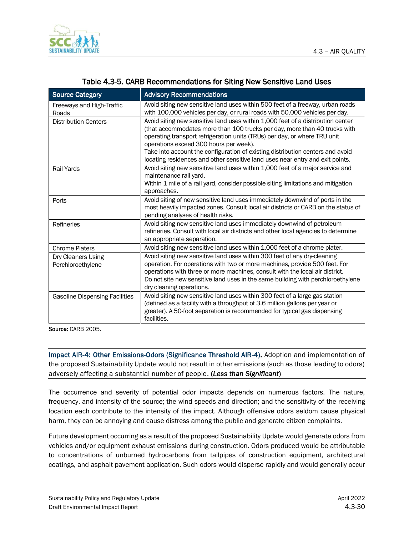

| <b>Source Category</b>                  | <b>Advisory Recommendations</b>                                                                                                                                                                                                                                                                                                                                                                                                                        |
|-----------------------------------------|--------------------------------------------------------------------------------------------------------------------------------------------------------------------------------------------------------------------------------------------------------------------------------------------------------------------------------------------------------------------------------------------------------------------------------------------------------|
| Freeways and High-Traffic<br>Roads      | Avoid siting new sensitive land uses within 500 feet of a freeway, urban roads<br>with 100,000 vehicles per day, or rural roads with 50,000 vehicles per day.                                                                                                                                                                                                                                                                                          |
| <b>Distribution Centers</b>             | Avoid siting new sensitive land uses within 1,000 feet of a distribution center<br>(that accommodates more than 100 trucks per day, more than 40 trucks with<br>operating transport refrigeration units (TRUs) per day, or where TRU unit<br>operations exceed 300 hours per week).<br>Take into account the configuration of existing distribution centers and avoid<br>locating residences and other sensitive land uses near entry and exit points. |
| Rail Yards                              | Avoid siting new sensitive land uses within 1,000 feet of a major service and<br>maintenance rail yard.<br>Within 1 mile of a rail yard, consider possible siting limitations and mitigation<br>approaches.                                                                                                                                                                                                                                            |
| Ports                                   | Avoid siting of new sensitive land uses immediately downwind of ports in the<br>most heavily impacted zones. Consult local air districts or CARB on the status of<br>pending analyses of health risks.                                                                                                                                                                                                                                                 |
| Refineries                              | Avoid siting new sensitive land uses immediately downwind of petroleum<br>refineries. Consult with local air districts and other local agencies to determine<br>an appropriate separation.                                                                                                                                                                                                                                                             |
| <b>Chrome Platers</b>                   | Avoid siting new sensitive land uses within 1,000 feet of a chrome plater.                                                                                                                                                                                                                                                                                                                                                                             |
| Dry Cleaners Using<br>Perchloroethylene | Avoid siting new sensitive land uses within 300 feet of any dry-cleaning<br>operation. For operations with two or more machines, provide 500 feet. For<br>operations with three or more machines, consult with the local air district.<br>Do not site new sensitive land uses in the same building with perchloroethylene<br>dry cleaning operations.                                                                                                  |
| <b>Gasoline Dispensing Facilities</b>   | Avoid siting new sensitive land uses within 300 feet of a large gas station<br>(defined as a facility with a throughput of 3.6 million gallons per year or<br>greater). A 50-foot separation is recommended for typical gas dispensing<br>facilities.                                                                                                                                                                                                  |

#### Table 4.3-5. CARB Recommendations for Siting New Sensitive Land Uses

Source: CARB 2005.

Impact AIR-4: Other Emissions-Odors (Significance Threshold AIR-4). Adoption and implementation of the proposed Sustainability Update would not result in other emissions (such as those leading to odors) adversely affecting a substantial number of people. (*Less than Significant*)

The occurrence and severity of potential odor impacts depends on numerous factors. The nature, frequency, and intensity of the source; the wind speeds and direction; and the sensitivity of the receiving location each contribute to the intensity of the impact. Although offensive odors seldom cause physical harm, they can be annoying and cause distress among the public and generate citizen complaints.

Future development occurring as a result of the proposed Sustainability Update would generate odors from vehicles and/or equipment exhaust emissions during construction. Odors produced would be attributable to concentrations of unburned hydrocarbons from tailpipes of construction equipment, architectural coatings, and asphalt pavement application. Such odors would disperse rapidly and would generally occur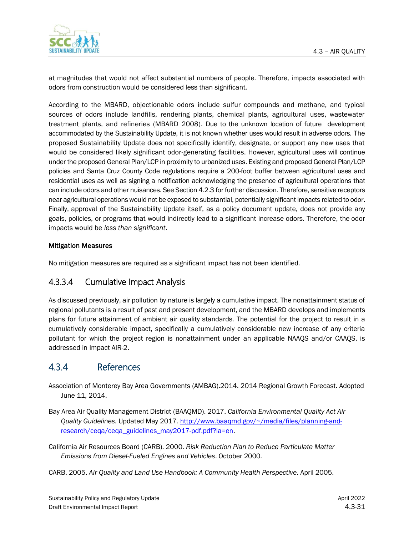

at magnitudes that would not affect substantial numbers of people. Therefore, impacts associated with odors from construction would be considered less than significant.

According to the MBARD, objectionable odors include sulfur compounds and methane, and typical sources of odors include landfills, rendering plants, chemical plants, agricultural uses, wastewater treatment plants, and refineries (MBARD 2008). Due to the unknown location of future development accommodated by the Sustainability Update, it is not known whether uses would result in adverse odors. The proposed Sustainability Update does not specifically identify, designate, or support any new uses that would be considered likely significant odor-generating facilities. However, agricultural uses will continue under the proposed General Plan/LCP in proximity to urbanized uses. Existing and proposed General Plan/LCP policies and Santa Cruz County Code regulations require a 200-foot buffer between agricultural uses and residential uses as well as signing a notification acknowledging the presence of agricultural operations that can include odors and other nuisances. See Section 4.2.3 for further discussion. Therefore, sensitive receptors near agricultural operations would not be exposed to substantial, potentially significant impacts related to odor. Finally, approval of the Sustainability Update itself, as a policy document update, does not provide any goals, policies, or programs that would indirectly lead to a significant increase odors. Therefore, the odor impacts would be *less than significant*.

#### Mitigation Measures

No mitigation measures are required as a significant impact has not been identified.

## 4.3.3.4 Cumulative Impact Analysis

As discussed previously, air pollution by nature is largely a cumulative impact. The nonattainment status of regional pollutants is a result of past and present development, and the MBARD develops and implements plans for future attainment of ambient air quality standards. The potential for the project to result in a cumulatively considerable impact, specifically a cumulatively considerable new increase of any criteria pollutant for which the project region is nonattainment under an applicable NAAQS and/or CAAQS, is addressed in Impact AIR-2.

## 4.3.4 References

Association of Monterey Bay Area Governments (AMBAG).2014. 2014 Regional Growth Forecast. Adopted June 11, 2014.

- Bay Area Air Quality Management District (BAAQMD). 2017. *California Environmental Quality Act Air Quality Guidelines.* Updated May 2017. [http://www.baaqmd.gov/~/media/files/planning-and](http://www.baaqmd.gov/~/media/files/planning-and-research/ceqa/ceqa_guidelines_may2017-pdf.pdf?la=en)[research/ceqa/ceqa\\_guidelines\\_may2017-pdf.pdf?la=en.](http://www.baaqmd.gov/~/media/files/planning-and-research/ceqa/ceqa_guidelines_may2017-pdf.pdf?la=en)
- California Air Resources Board (CARB). 2000. *Risk Reduction Plan to Reduce Particulate Matter Emissions from Diesel-Fueled Engines and Vehicles*. October 2000.
- CARB. 2005. *Air Quality and Land Use Handbook: A Community Health Perspective*. April 2005.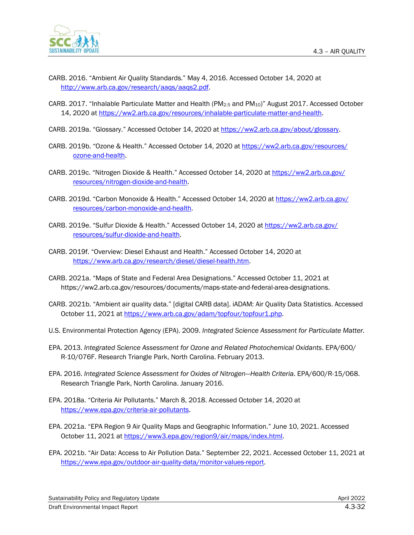

- CARB. 2016. "Ambient Air Quality Standards." May 4, 2016. Accessed October 14, 2020 at [http://www.arb.ca.gov/research/aaqs/aaqs2.pdf.](http://www.arb.ca.gov/research/aaqs/aaqs2.pdf)
- CARB. 2017. "Inhalable Particulate Matter and Health (PM2.5 and PM10)" August 2017. Accessed October 14, 2020 at [https://ww2.arb.ca.gov/resources/inhalable-particulate-matter-and-health.](https://ww2.arb.ca.gov/resources/inhalable-particulate-matter-and-health)
- CARB. 2019a. "Glossary." Accessed October 14, 2020 at [https://ww2.arb.ca.gov/about/glossary.](https://ww2.arb.ca.gov/about/glossary)
- CARB. 2019b. "Ozone & Health." Accessed October 14, 2020 at [https://ww2.arb.ca.gov/resources/](https://ww2.arb.ca.gov/resources/ozone-and-health) [ozone-and-health.](https://ww2.arb.ca.gov/resources/ozone-and-health)
- CARB. 2019c. "Nitrogen Dioxide & Health." Accessed October 14, 2020 at [https://ww2.arb.ca.gov/](https://ww2.arb.ca.gov/resources/nitrogen-dioxide-and-health) [resources/nitrogen-dioxide-and-health.](https://ww2.arb.ca.gov/resources/nitrogen-dioxide-and-health)
- CARB. 2019d. "Carbon Monoxide & Health." Accessed October 14, 2020 at [https://ww2.arb.ca.gov/](https://ww2.arb.ca.gov/resources/carbon-monoxide-and-health) [resources/carbon-monoxide-and-health.](https://ww2.arb.ca.gov/resources/carbon-monoxide-and-health)
- CARB. 2019e. "Sulfur Dioxide & Health." Accessed October 14, 2020 at [https://ww2.arb.ca.gov/](https://ww2.arb.ca.gov/resources/sulfur-dioxide-and-health) [resources/sulfur-dioxide-and-health.](https://ww2.arb.ca.gov/resources/sulfur-dioxide-and-health)
- CARB. 2019f. "Overview: Diesel Exhaust and Health." Accessed October 14, 2020 at [https://www.arb.ca.gov/research/diesel/diesel-health.htm.](https://www.arb.ca.gov/research/diesel/diesel-health.htm)
- CARB. 2021a. "Maps of State and Federal Area Designations." Accessed October 11, 2021 at https://ww2.arb.ca.gov/resources/documents/maps-state-and-federal-area-designations.
- CARB. 2021b. "Ambient air quality data." [digital CARB data]. iADAM: Air Quality Data Statistics. Accessed October 11, 2021 at [https://www.arb.ca.gov/adam/topfour/topfour1.php.](https://www.arb.ca.gov/adam/topfour/topfour1.php)
- U.S. Environmental Protection Agency (EPA). 2009. *Integrated Science Assessment for Particulate Matter.*
- EPA. 2013. *Integrated Science Assessment for Ozone and Related Photochemical Oxidants*. EPA/600/ R-10/076F. Research Triangle Park, North Carolina. February 2013.
- EPA. 2016. *Integrated Science Assessment for Oxides of Nitrogen—Health Criteria*. EPA/600/R-15/068. Research Triangle Park, North Carolina. January 2016.
- EPA. 2018a. "Criteria Air Pollutants." March 8, 2018. Accessed October 14, 2020 at [https://www.epa.gov/criteria-air-pollutants.](https://www.epa.gov/criteria-air-pollutants)
- EPA. 2021a. "EPA Region 9 Air Quality Maps and Geographic Information." June 10, 2021. Accessed October 11, 2021 at [https://www3.epa.gov/region9/air/maps/index.html.](https://www3.epa.gov/region9/air/maps/index.html)
- EPA. 2021b. "Air Data: Access to Air Pollution Data." September 22, 2021. Accessed October 11, 2021 at [https://www.epa.gov/outdoor-air-quality-data/monitor-values-report.](https://www.epa.gov/outdoor-air-quality-data/monitor-values-report)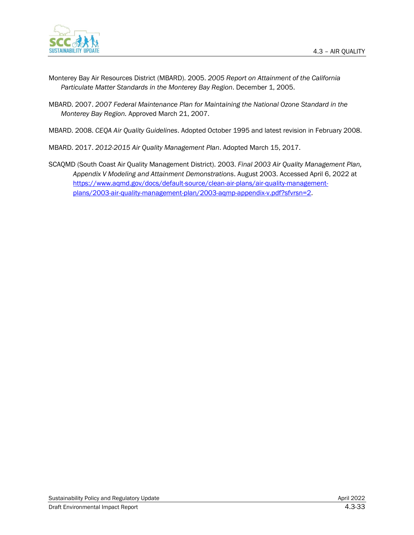

- Monterey Bay Air Resources District (MBARD). 2005. *2005 Report on Attainment of the California Particulate Matter Standards in the Monterey Bay Region*. December 1, 2005.
- MBARD. 2007. *2007 Federal Maintenance Plan for Maintaining the National Ozone Standard in the Monterey Bay Region.* Approved March 21, 2007.
- MBARD. 2008. *CEQA Air Quality Guidelines*. Adopted October 1995 and latest revision in February 2008.

MBARD. 2017. *2012-2015 Air Quality Management Plan*. Adopted March 15, 2017.

SCAQMD (South Coast Air Quality Management District). 2003. *Final 2003 Air Quality Management Plan, Appendix V Modeling and Attainment Demonstrations*. August 2003. Accessed April 6, 2022 at [https://www.aqmd.gov/docs/default-source/clean-air-plans/air-quality-management](https://www.aqmd.gov/docs/default-source/clean-air-plans/air-quality-management-plans/2003-air-quality-management-plan/2003-aqmp-appendix-v.pdf?sfvrsn=2)[plans/2003-air-quality-management-plan/2003-aqmp-appendix-v.pdf?sfvrsn=2.](https://www.aqmd.gov/docs/default-source/clean-air-plans/air-quality-management-plans/2003-air-quality-management-plan/2003-aqmp-appendix-v.pdf?sfvrsn=2)